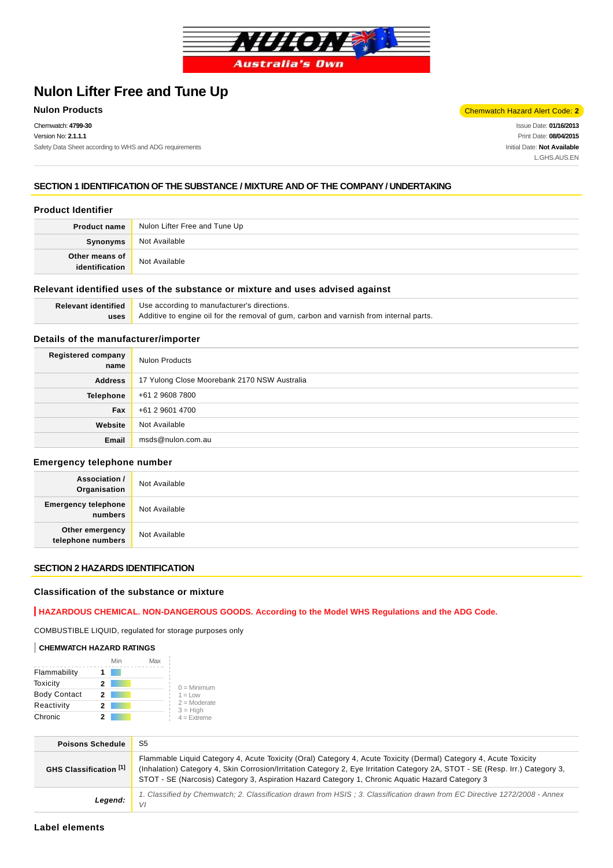

# **Nulon Lifter Free and Tune Up**

Chemwatch: **4799-30** Version No: **2.1.1.1** Safety Data Sheet according to WHS and ADG requirements

**Nulon Products** Chemwatch Hazard Alert Code: **2** 

Issue Date: **01/16/2013** Print Date: **08/04/2015** Initial Date: **Not Available** L.GHS.AUS.EN

### **SECTION 1 IDENTIFICATION OF THE SUBSTANCE / MIXTURE AND OF THE COMPANY / UNDERTAKING**

### **Product Identifier**

| <b>Product name</b>              | Nulon Lifter Free and Tune Up |
|----------------------------------|-------------------------------|
| Synonyms                         | Not Available                 |
| Other means of<br>identification | Not Available                 |

### **Relevant identified uses of the substance or mixture and uses advised against**

| Relevant identified | Use according to manufacturer's directions.                                            |  |  |
|---------------------|----------------------------------------------------------------------------------------|--|--|
| uses                | Additive to engine oil for the removal of gum, carbon and varnish from internal parts. |  |  |

### **Details of the manufacturer/importer**

| Registered company<br>name | <b>Nulon Products</b>                        |
|----------------------------|----------------------------------------------|
| <b>Address</b>             | 17 Yulong Close Moorebank 2170 NSW Australia |
| <b>Telephone</b>           | +61 2 9608 7800                              |
| Fax                        | +61 2 9601 4700                              |
| Website                    | Not Available                                |
| Email                      | msds@nulon.com.au                            |

#### **Emergency telephone number**

| <b>Association /</b><br>Organisation  | Not Available |
|---------------------------------------|---------------|
| <b>Emergency telephone</b><br>numbers | Not Available |
| Other emergency<br>telephone numbers  | Not Available |

### **SECTION 2 HAZARDS IDENTIFICATION**

#### **Classification of the substance or mixture**

### **HAZARDOUS CHEMICAL. NON-DANGEROUS GOODS. According to the Model WHS Regulations and the ADG Code.**

COMBUSTIBLE LIQUID, regulated for storage purposes only

### **CHEMWATCH HAZARD RATINGS**

|                     | Min | Max |                              |
|---------------------|-----|-----|------------------------------|
| Flammability        |     |     |                              |
| Toxicity            | 2   |     | $0 =$ Minimum                |
| <b>Body Contact</b> | 2   |     | $1 = Low$                    |
| Reactivity          | 2   |     | $2 =$ Moderate<br>$3 = High$ |
| Chronic             |     |     | $4 =$ Extreme                |

| <b>Poisons Schedule</b> | S5                                                                                                                                                                                                                                                                                                                                                     |
|-------------------------|--------------------------------------------------------------------------------------------------------------------------------------------------------------------------------------------------------------------------------------------------------------------------------------------------------------------------------------------------------|
| GHS Classification [1]  | Flammable Liquid Category 4, Acute Toxicity (Oral) Category 4, Acute Toxicity (Dermal) Category 4, Acute Toxicity<br>(Inhalation) Category 4, Skin Corrosion/Irritation Category 2, Eye Irritation Category 2A, STOT - SE (Resp. Irr.) Category 3,<br>STOT - SE (Narcosis) Category 3, Aspiration Hazard Category 1, Chronic Aguatic Hazard Category 3 |
| Legend:                 | 1. Classified by Chemwatch; 2. Classification drawn from HSIS; 3. Classification drawn from EC Directive 1272/2008 - Annex<br>VI                                                                                                                                                                                                                       |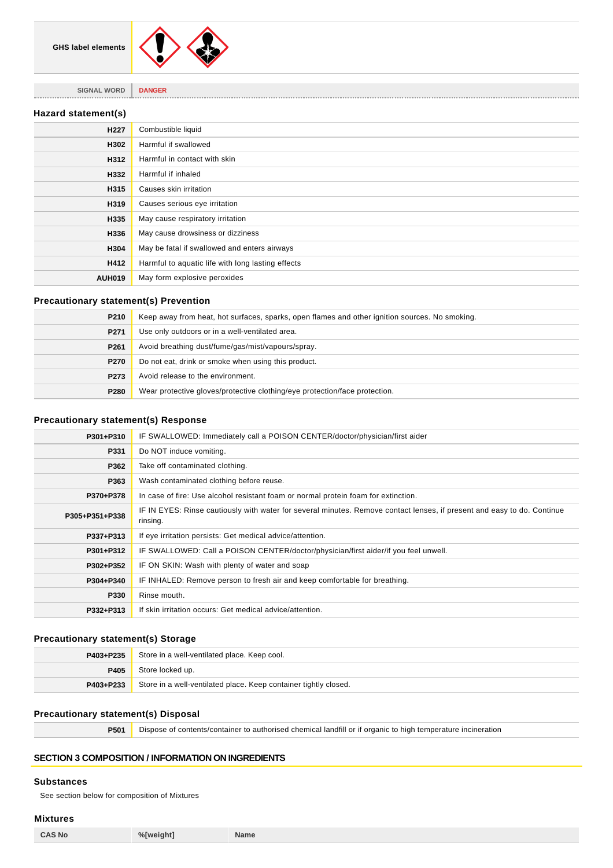

**SIGNAL WORD DANGER**

### **Hazard statement(s)**

| H <sub>227</sub> | Combustible liquid                                |
|------------------|---------------------------------------------------|
| H302             | Harmful if swallowed                              |
| H312             | Harmful in contact with skin                      |
| H332             | Harmful if inhaled                                |
| H315             | Causes skin irritation                            |
| H319             | Causes serious eye irritation                     |
| H335             | May cause respiratory irritation                  |
| H336             | May cause drowsiness or dizziness                 |
| H304             | May be fatal if swallowed and enters airways      |
| H412             | Harmful to aquatic life with long lasting effects |
| <b>AUH019</b>    | May form explosive peroxides                      |

### **Precautionary statement(s) Prevention**

| P <sub>210</sub> | Keep away from heat, hot surfaces, sparks, open flames and other ignition sources. No smoking. |
|------------------|------------------------------------------------------------------------------------------------|
| P271             | Use only outdoors or in a well-ventilated area.                                                |
| P <sub>261</sub> | Avoid breathing dust/fume/gas/mist/vapours/spray.                                              |
| P270             | Do not eat, drink or smoke when using this product.                                            |
| P273             | Avoid release to the environment.                                                              |
| P280             | Wear protective gloves/protective clothing/eye protection/face protection.                     |

### **Precautionary statement(s) Response**

| P301+P310      | IF SWALLOWED: Immediately call a POISON CENTER/doctor/physician/first aider                                                         |  |  |
|----------------|-------------------------------------------------------------------------------------------------------------------------------------|--|--|
| P331           | Do NOT induce vomiting.                                                                                                             |  |  |
| P362           | Take off contaminated clothing.                                                                                                     |  |  |
| P363           | Wash contaminated clothing before reuse.                                                                                            |  |  |
| P370+P378      | In case of fire: Use alcohol resistant foam or normal protein foam for extinction.                                                  |  |  |
| P305+P351+P338 | IF IN EYES: Rinse cautiously with water for several minutes. Remove contact lenses, if present and easy to do. Continue<br>rinsing. |  |  |
| P337+P313      | If eye irritation persists: Get medical advice/attention.                                                                           |  |  |
| P301+P312      | IF SWALLOWED: Call a POISON CENTER/doctor/physician/first aider/if you feel unwell.                                                 |  |  |
| P302+P352      | IF ON SKIN: Wash with plenty of water and soap                                                                                      |  |  |
| P304+P340      | IF INHALED: Remove person to fresh air and keep comfortable for breathing.                                                          |  |  |
| P330           | Rinse mouth.                                                                                                                        |  |  |
| P332+P313      | If skin irritation occurs: Get medical advice/attention.                                                                            |  |  |

### **Precautionary statement(s) Storage**

| P403+P235 | Store in a well-ventilated place. Keep cool.                     |  |
|-----------|------------------------------------------------------------------|--|
| P405      | Store locked up.                                                 |  |
| P403+P233 | Store in a well-ventilated place. Keep container tightly closed. |  |

#### **Precautionary statement(s) Disposal**

**P501** Dispose of contents/container to authorised chemical landfill or if organic to high temperature incineration

## **SECTION 3 COMPOSITION / INFORMATION ON INGREDIENTS**

### **Substances**

See section below for composition of Mixtures

### **Mixtures**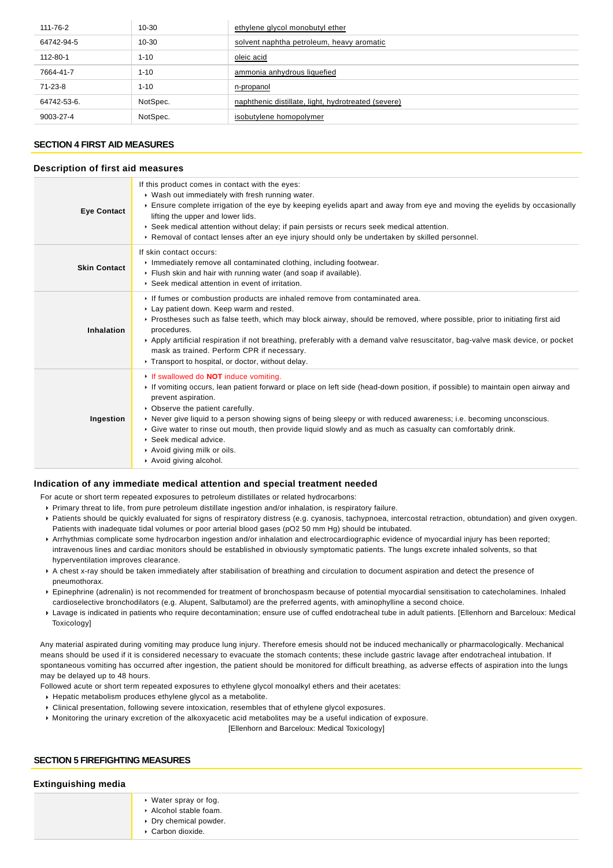| 111-76-2    | $10 - 30$ | ethylene glycol monobutyl ether                     |
|-------------|-----------|-----------------------------------------------------|
| 64742-94-5  | $10 - 30$ | solvent naphtha petroleum, heavy aromatic           |
| 112-80-1    | $1 - 10$  | oleic acid                                          |
| 7664-41-7   | $1 - 10$  | ammonia anhydrous liquefied                         |
| 71-23-8     | $1 - 10$  | n-propanol                                          |
| 64742-53-6. | NotSpec.  | naphthenic distillate, light, hydrotreated (severe) |
| 9003-27-4   | NotSpec.  | isobutylene homopolymer                             |

### **SECTION 4 FIRST AID MEASURES**

#### **Description of first aid measures**

| <b>Eye Contact</b>  | If this product comes in contact with the eyes:<br>▶ Wash out immediately with fresh running water.<br>Ensure complete irrigation of the eye by keeping eyelids apart and away from eye and moving the eyelids by occasionally<br>lifting the upper and lower lids.<br>► Seek medical attention without delay; if pain persists or recurs seek medical attention.<br>► Removal of contact lenses after an eye injury should only be undertaken by skilled personnel.                                                                                         |
|---------------------|--------------------------------------------------------------------------------------------------------------------------------------------------------------------------------------------------------------------------------------------------------------------------------------------------------------------------------------------------------------------------------------------------------------------------------------------------------------------------------------------------------------------------------------------------------------|
| <b>Skin Contact</b> | If skin contact occurs:<br>Inmediately remove all contaminated clothing, including footwear.<br>Flush skin and hair with running water (and soap if available).<br>▶ Seek medical attention in event of irritation.                                                                                                                                                                                                                                                                                                                                          |
| Inhalation          | If fumes or combustion products are inhaled remove from contaminated area.<br>Lay patient down. Keep warm and rested.<br>▶ Prostheses such as false teeth, which may block airway, should be removed, where possible, prior to initiating first aid<br>procedures.<br>▶ Apply artificial respiration if not breathing, preferably with a demand valve resuscitator, bag-valve mask device, or pocket<br>mask as trained. Perform CPR if necessary.<br>Transport to hospital, or doctor, without delay.                                                       |
| Ingestion           | If swallowed do <b>NOT</b> induce vomiting.<br>If vomiting occurs, lean patient forward or place on left side (head-down position, if possible) to maintain open airway and<br>prevent aspiration.<br>• Observe the patient carefully.<br>► Never give liquid to a person showing signs of being sleepy or with reduced awareness; i.e. becoming unconscious.<br>► Give water to rinse out mouth, then provide liquid slowly and as much as casualty can comfortably drink.<br>▶ Seek medical advice.<br>Avoid giving milk or oils.<br>Avoid giving alcohol. |

#### **Indication of any immediate medical attention and special treatment needed**

- For acute or short term repeated exposures to petroleum distillates or related hydrocarbons:
- Primary threat to life, from pure petroleum distillate ingestion and/or inhalation, is respiratory failure.
- Patients should be quickly evaluated for signs of respiratory distress (e.g. cyanosis, tachypnoea, intercostal retraction, obtundation) and given oxygen. Patients with inadequate tidal volumes or poor arterial blood gases (pO2 50 mm Hg) should be intubated.
- Arrhythmias complicate some hydrocarbon ingestion and/or inhalation and electrocardiographic evidence of myocardial injury has been reported; intravenous lines and cardiac monitors should be established in obviously symptomatic patients. The lungs excrete inhaled solvents, so that hyperventilation improves clearance.
- A chest x-ray should be taken immediately after stabilisation of breathing and circulation to document aspiration and detect the presence of pneumothorax.
- Epinephrine (adrenalin) is not recommended for treatment of bronchospasm because of potential myocardial sensitisation to catecholamines. Inhaled cardioselective bronchodilators (e.g. Alupent, Salbutamol) are the preferred agents, with aminophylline a second choice.
- Lavage is indicated in patients who require decontamination; ensure use of cuffed endotracheal tube in adult patients. [Ellenhorn and Barceloux: Medical Toxicology]

Any material aspirated during vomiting may produce lung injury. Therefore emesis should not be induced mechanically or pharmacologically. Mechanical means should be used if it is considered necessary to evacuate the stomach contents; these include gastric lavage after endotracheal intubation. If spontaneous vomiting has occurred after ingestion, the patient should be monitored for difficult breathing, as adverse effects of aspiration into the lungs may be delayed up to 48 hours.

Followed acute or short term repeated exposures to ethylene glycol monoalkyl ethers and their acetates:

- Hepatic metabolism produces ethylene glycol as a metabolite.
- Clinical presentation, following severe intoxication, resembles that of ethylene glycol exposures.
- Monitoring the urinary excretion of the alkoxyacetic acid metabolites may be a useful indication of exposure.

[Ellenhorn and Barceloux: Medical Toxicology]

#### **SECTION 5 FIREFIGHTING MEASURES**

| <b>Extinguishing media</b> |                                                                                            |  |
|----------------------------|--------------------------------------------------------------------------------------------|--|
|                            | ▸ Water spray or fog.<br>Alcohol stable foam.<br>▶ Dry chemical powder.<br>Carbon dioxide. |  |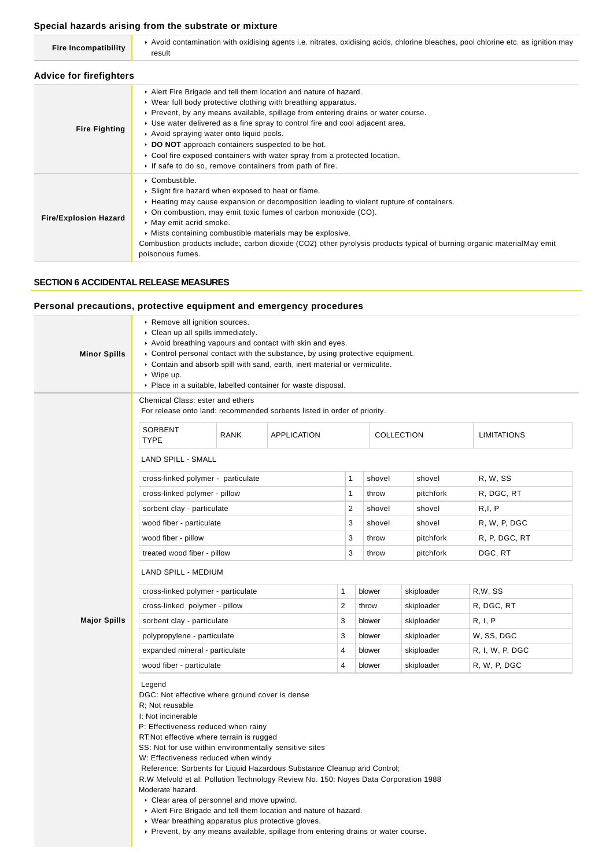### **Special hazards arising from the substrate or mixture**

| <b>Fire Incompatibility</b>    | Avoid contamination with oxidising agents i.e. nitrates, oxidising acids, chlorine bleaches, pool chlorine etc. as ignition may<br>result                                                                                                                                                                                                                                                                                                                                                                                                                    |  |  |  |
|--------------------------------|--------------------------------------------------------------------------------------------------------------------------------------------------------------------------------------------------------------------------------------------------------------------------------------------------------------------------------------------------------------------------------------------------------------------------------------------------------------------------------------------------------------------------------------------------------------|--|--|--|
| <b>Advice for firefighters</b> |                                                                                                                                                                                                                                                                                                                                                                                                                                                                                                                                                              |  |  |  |
| <b>Fire Fighting</b>           | Alert Fire Brigade and tell them location and nature of hazard.<br>▶ Wear full body protective clothing with breathing apparatus.<br>► Prevent, by any means available, spillage from entering drains or water course.<br>► Use water delivered as a fine spray to control fire and cool adjacent area.<br>Avoid spraying water onto liquid pools.<br>DO NOT approach containers suspected to be hot.<br>$\triangleright$ Cool fire exposed containers with water spray from a protected location.<br>If safe to do so, remove containers from path of fire. |  |  |  |
| <b>Fire/Explosion Hazard</b>   | $\triangleright$ Combustible.<br>• Slight fire hazard when exposed to heat or flame.<br>► Heating may cause expansion or decomposition leading to violent rupture of containers.<br>• On combustion, may emit toxic fumes of carbon monoxide (CO).<br>• May emit acrid smoke.<br>• Mists containing combustible materials may be explosive.<br>Combustion products include; carbon dioxide (CO2) other pyrolysis products typical of burning organic materialMay emit<br>poisonous fumes.                                                                    |  |  |  |

### **SECTION 6 ACCIDENTAL RELEASE MEASURES**

**Personal precautions, protective equipment and emergency procedures**

| <b>Minor Spills</b> | Remove all ignition sources.<br>Clean up all spills immediately.<br>Avoid breathing vapours and contact with skin and eyes.<br>► Control personal contact with the substance, by using protective equipment.<br>Contain and absorb spill with sand, earth, inert material or vermiculite.<br>$\cdot$ Wipe up.<br>• Place in a suitable, labelled container for waste disposal.                                                                                                                                                                                                   |                             |                                                                                                                                                      |                         |            |            |                    |
|---------------------|----------------------------------------------------------------------------------------------------------------------------------------------------------------------------------------------------------------------------------------------------------------------------------------------------------------------------------------------------------------------------------------------------------------------------------------------------------------------------------------------------------------------------------------------------------------------------------|-----------------------------|------------------------------------------------------------------------------------------------------------------------------------------------------|-------------------------|------------|------------|--------------------|
|                     | Chemical Class: ester and ethers                                                                                                                                                                                                                                                                                                                                                                                                                                                                                                                                                 |                             |                                                                                                                                                      |                         |            |            |                    |
|                     | For release onto land: recommended sorbents listed in order of priority.                                                                                                                                                                                                                                                                                                                                                                                                                                                                                                         |                             |                                                                                                                                                      |                         |            |            |                    |
|                     | <b>SORBENT</b><br><b>TYPE</b>                                                                                                                                                                                                                                                                                                                                                                                                                                                                                                                                                    | <b>RANK</b>                 | <b>APPLICATION</b>                                                                                                                                   |                         |            | COLLECTION | <b>LIMITATIONS</b> |
|                     | <b>LAND SPILL - SMALL</b>                                                                                                                                                                                                                                                                                                                                                                                                                                                                                                                                                        |                             |                                                                                                                                                      |                         |            |            |                    |
|                     | cross-linked polymer - particulate                                                                                                                                                                                                                                                                                                                                                                                                                                                                                                                                               |                             |                                                                                                                                                      | $\mathbf{1}$            | shovel     | shovel     | R, W, SS           |
|                     | cross-linked polymer - pillow                                                                                                                                                                                                                                                                                                                                                                                                                                                                                                                                                    |                             |                                                                                                                                                      | $\mathbf{1}$            | throw      | pitchfork  | R, DGC, RT         |
|                     | sorbent clay - particulate                                                                                                                                                                                                                                                                                                                                                                                                                                                                                                                                                       |                             |                                                                                                                                                      | $\overline{2}$          | shovel     | shovel     | R,I, P             |
|                     | wood fiber - particulate                                                                                                                                                                                                                                                                                                                                                                                                                                                                                                                                                         |                             |                                                                                                                                                      | 3                       | shovel     | shovel     | R, W, P, DGC       |
|                     | wood fiber - pillow                                                                                                                                                                                                                                                                                                                                                                                                                                                                                                                                                              |                             |                                                                                                                                                      | 3                       | throw      | pitchfork  | R, P, DGC, RT      |
|                     |                                                                                                                                                                                                                                                                                                                                                                                                                                                                                                                                                                                  | treated wood fiber - pillow |                                                                                                                                                      | 3                       | throw      | pitchfork  | DGC, RT            |
|                     | LAND SPILL - MEDIUM                                                                                                                                                                                                                                                                                                                                                                                                                                                                                                                                                              |                             |                                                                                                                                                      |                         |            |            |                    |
|                     | cross-linked polymer - particulate                                                                                                                                                                                                                                                                                                                                                                                                                                                                                                                                               |                             | 1                                                                                                                                                    | blower                  | skiploader | R,W, SS    |                    |
|                     | cross-linked polymer - pillow                                                                                                                                                                                                                                                                                                                                                                                                                                                                                                                                                    |                             |                                                                                                                                                      | $\overline{\mathbf{c}}$ | throw      | skiploader | R, DGC, RT         |
| <b>Major Spills</b> | sorbent clay - particulate                                                                                                                                                                                                                                                                                                                                                                                                                                                                                                                                                       |                             |                                                                                                                                                      | 3                       | blower     | skiploader | R, I, P            |
|                     | polypropylene - particulate                                                                                                                                                                                                                                                                                                                                                                                                                                                                                                                                                      |                             |                                                                                                                                                      | 3                       | blower     | skiploader | W, SS, DGC         |
|                     | expanded mineral - particulate                                                                                                                                                                                                                                                                                                                                                                                                                                                                                                                                                   |                             |                                                                                                                                                      | 4                       | blower     | skiploader | R, I, W, P, DGC    |
|                     | wood fiber - particulate                                                                                                                                                                                                                                                                                                                                                                                                                                                                                                                                                         |                             |                                                                                                                                                      | 4                       | blower     | skiploader | R, W, P, DGC       |
|                     | Legend<br>DGC: Not effective where ground cover is dense<br>R: Not reusable<br>I: Not incinerable<br>P: Effectiveness reduced when rainy<br>RT: Not effective where terrain is rugged<br>SS: Not for use within environmentally sensitive sites<br>W: Effectiveness reduced when windy<br>Reference: Sorbents for Liquid Hazardous Substance Cleanup and Control;<br>R.W Melvold et al: Pollution Technology Review No. 150: Noyes Data Corporation 1988<br>Moderate hazard.<br>• Clear area of personnel and move upwind.<br>▶ Wear breathing apparatus plus protective gloves. |                             | Alert Fire Brigade and tell them location and nature of hazard.<br>▶ Prevent, by any means available, spillage from entering drains or water course. |                         |            |            |                    |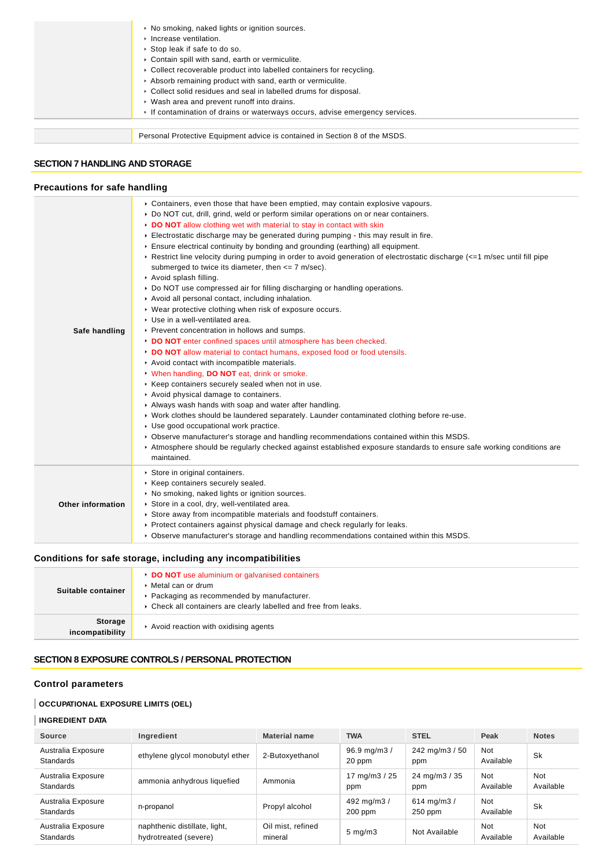| ▶ No smoking, naked lights or ignition sources.<br>$\triangleright$ Increase ventilation.<br>▶ Stop leak if safe to do so.<br>Contain spill with sand, earth or vermiculite.<br>• Collect recoverable product into labelled containers for recycling.<br>Absorb remaining product with sand, earth or vermiculite.<br>• Collect solid residues and seal in labelled drums for disposal. |
|-----------------------------------------------------------------------------------------------------------------------------------------------------------------------------------------------------------------------------------------------------------------------------------------------------------------------------------------------------------------------------------------|
| ▶ Wash area and prevent runoff into drains.<br>If contamination of drains or waterways occurs, advise emergency services.                                                                                                                                                                                                                                                               |
| Personal Protective Equipment advice is contained in Section 8 of the MSDS.                                                                                                                                                                                                                                                                                                             |

### **SECTION 7 HANDLING AND STORAGE**

#### **Precautions for safe handling**

| Safe handling     | ► Containers, even those that have been emptied, may contain explosive vapours.<br>▶ Do NOT cut, drill, grind, weld or perform similar operations on or near containers.<br>DO NOT allow clothing wet with material to stay in contact with skin<br>Electrostatic discharge may be generated during pumping - this may result in fire.<br>Ensure electrical continuity by bonding and grounding (earthing) all equipment.<br>► Restrict line velocity during pumping in order to avoid generation of electrostatic discharge (<=1 m/sec until fill pipe<br>submerged to twice its diameter, then $\leq$ 7 m/sec).<br>Avoid splash filling.<br>▶ Do NOT use compressed air for filling discharging or handling operations.<br>Avoid all personal contact, including inhalation.<br>▶ Wear protective clothing when risk of exposure occurs.<br>▶ Use in a well-ventilated area.<br>▶ Prevent concentration in hollows and sumps.<br>DO NOT enter confined spaces until atmosphere has been checked.<br>DO NOT allow material to contact humans, exposed food or food utensils.<br>Avoid contact with incompatible materials.<br>V When handling, DO NOT eat, drink or smoke.<br>▶ Keep containers securely sealed when not in use.<br>Avoid physical damage to containers.<br>Always wash hands with soap and water after handling.<br>▶ Work clothes should be laundered separately. Launder contaminated clothing before re-use.<br>Use good occupational work practice.<br>▶ Observe manufacturer's storage and handling recommendations contained within this MSDS.<br>Atmosphere should be regularly checked against established exposure standards to ensure safe working conditions are<br>maintained. |
|-------------------|--------------------------------------------------------------------------------------------------------------------------------------------------------------------------------------------------------------------------------------------------------------------------------------------------------------------------------------------------------------------------------------------------------------------------------------------------------------------------------------------------------------------------------------------------------------------------------------------------------------------------------------------------------------------------------------------------------------------------------------------------------------------------------------------------------------------------------------------------------------------------------------------------------------------------------------------------------------------------------------------------------------------------------------------------------------------------------------------------------------------------------------------------------------------------------------------------------------------------------------------------------------------------------------------------------------------------------------------------------------------------------------------------------------------------------------------------------------------------------------------------------------------------------------------------------------------------------------------------------------------------------------------------------------------------------------------------------------|
| Other information | Store in original containers.<br>▶ Keep containers securely sealed.<br>• No smoking, naked lights or ignition sources.<br>Store in a cool, dry, well-ventilated area.<br>Store away from incompatible materials and foodstuff containers.<br>► Protect containers against physical damage and check regularly for leaks.<br>▶ Observe manufacturer's storage and handling recommendations contained within this MSDS.                                                                                                                                                                                                                                                                                                                                                                                                                                                                                                                                                                                                                                                                                                                                                                                                                                                                                                                                                                                                                                                                                                                                                                                                                                                                                        |

### **Conditions for safe storage, including any incompatibilities**

| Suitable container                | <b>DO NOT</b> use aluminium or galvanised containers<br>▶ Metal can or drum<br>▶ Packaging as recommended by manufacturer.<br>• Check all containers are clearly labelled and free from leaks. |
|-----------------------------------|------------------------------------------------------------------------------------------------------------------------------------------------------------------------------------------------|
| <b>Storage</b><br>incompatibility | Avoid reaction with oxidising agents                                                                                                                                                           |

### **SECTION 8 EXPOSURE CONTROLS / PERSONAL PROTECTION**

### **Control parameters**

### **OCCUPATIONAL EXPOSURE LIMITS (OEL)**

#### **INGREDIENT DATA**

| Source                                 | Ingredient                                             | <b>Material name</b>         | <b>TWA</b>                           | <b>STEL</b>                | Peak                    | <b>Notes</b>            |
|----------------------------------------|--------------------------------------------------------|------------------------------|--------------------------------------|----------------------------|-------------------------|-------------------------|
| Australia Exposure<br><b>Standards</b> | ethylene glycol monobutyl ether                        | 2-Butoxyethanol              | $96.9 \,\mathrm{mg/m}$ $/$<br>20 ppm | 242 mg/m $3/50$<br>ppm     | Not<br>Available        | Sk                      |
| Australia Exposure<br><b>Standards</b> | ammonia anhydrous liquefied                            | Ammonia                      | 17 mg/m $3/25$<br>ppm                | 24 mg/m3 / 35<br>ppm       | Not<br>Available        | Not<br>Available        |
| Australia Exposure<br><b>Standards</b> | n-propanol                                             | Propyl alcohol               | 492 mg/m3 /<br>$200$ ppm             | 614 mg/m $3/$<br>$250$ ppm | <b>Not</b><br>Available | Sk                      |
| Australia Exposure<br><b>Standards</b> | naphthenic distillate, light,<br>hydrotreated (severe) | Oil mist, refined<br>mineral | $5 \text{ mg/m}$ 3                   | Not Available              | Not<br>Available        | <b>Not</b><br>Available |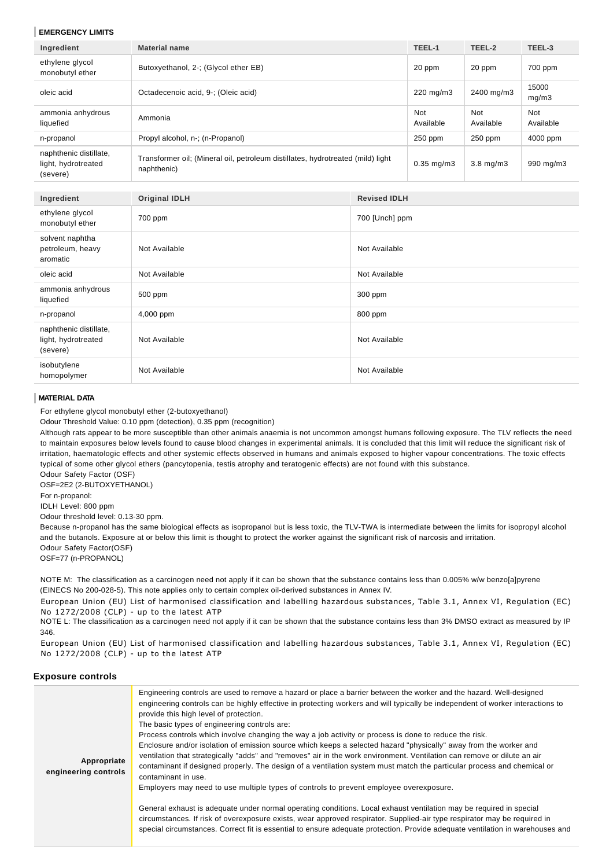#### **EMERGENCY LIMITS**

| Ingredient                                                | <b>Material name</b>                                                                           |                     | TEEL-1                  | TEEL-2                  | TEEL-3           |
|-----------------------------------------------------------|------------------------------------------------------------------------------------------------|---------------------|-------------------------|-------------------------|------------------|
| ethylene glycol<br>monobutyl ether                        | Butoxyethanol, 2-; (Glycol ether EB)                                                           |                     | 20 ppm                  | 20 ppm                  | 700 ppm          |
| oleic acid                                                | Octadecenoic acid, 9-; (Oleic acid)                                                            |                     | 220 mg/m3               | 2400 mg/m3              | 15000<br>mg/m3   |
| ammonia anhydrous<br>liquefied                            | Ammonia                                                                                        |                     | <b>Not</b><br>Available | <b>Not</b><br>Available | Not<br>Available |
| n-propanol                                                | Propyl alcohol, n-; (n-Propanol)                                                               |                     | 250 ppm                 | 250 ppm                 | 4000 ppm         |
| naphthenic distillate,<br>light, hydrotreated<br>(severe) | Transformer oil; (Mineral oil, petroleum distillates, hydrotreated (mild) light<br>naphthenic) |                     | $0.35$ mg/m $3$         | $3.8$ mg/m $3$          | 990 mg/m3        |
|                                                           |                                                                                                |                     |                         |                         |                  |
| Ingredient                                                | <b>Original IDLH</b>                                                                           | <b>Revised IDLH</b> |                         |                         |                  |
| ethylene glycol<br>monobutyl ether                        | 700 ppm                                                                                        | 700 [Unch] ppm      |                         |                         |                  |
| solvent naphtha<br>petroleum, heavy<br>aromatic           | Not Available<br>Not Available                                                                 |                     |                         |                         |                  |
| oleic acid                                                | Not Available                                                                                  | Not Available       |                         |                         |                  |
| ammonia anhydrous<br>liquefied                            | 500 ppm                                                                                        | 300 ppm             |                         |                         |                  |
| n-propanol                                                | 4,000 ppm                                                                                      | 800 ppm             |                         |                         |                  |
| naphthenic distillate,<br>light, hydrotreated<br>(severe) | Not Available                                                                                  | Not Available       |                         |                         |                  |
| isobutylene<br>homopolymer                                | Not Available<br>Not Available                                                                 |                     |                         |                         |                  |

#### **MATERIAL DATA**

For ethylene glycol monobutyl ether (2-butoxyethanol)

Odour Threshold Value: 0.10 ppm (detection), 0.35 ppm (recognition)

Although rats appear to be more susceptible than other animals anaemia is not uncommon amongst humans following exposure. The TLV reflects the need to maintain exposures below levels found to cause blood changes in experimental animals. It is concluded that this limit will reduce the significant risk of irritation, haematologic effects and other systemic effects observed in humans and animals exposed to higher vapour concentrations. The toxic effects typical of some other glycol ethers (pancytopenia, testis atrophy and teratogenic effects) are not found with this substance.

Odour Safety Factor (OSF) OSF=2E2 (2-BUTOXYETHANOL)

For n-propanol:

IDLH Level: 800 ppm

Odour threshold level: 0.13-30 ppm.

Because n-propanol has the same biological effects as isopropanol but is less toxic, the TLV-TWA is intermediate between the limits for isopropyl alcohol and the butanols. Exposure at or below this limit is thought to protect the worker against the significant risk of narcosis and irritation. Odour Safety Factor(OSF)

OSF=77 (n-PROPANOL)

NOTE M: The classification as a carcinogen need not apply if it can be shown that the substance contains less than 0.005% w/w benzo[a]pyrene (EINECS No 200-028-5). This note applies only to certain complex oil-derived substances in Annex IV.

European Union (EU) List of harmonised classification and labelling hazardous substances, Table 3.1, Annex VI, Regulation (EC) No 1272/2008 (CLP) - up to the latest ATP

NOTE L: The classification as a carcinogen need not apply if it can be shown that the substance contains less than 3% DMSO extract as measured by IP 346.

European Union (EU) List of harmonised classification and labelling hazardous substances, Table 3.1, Annex VI, Regulation (EC) No 1272/2008 (CLP) - up to the latest ATP

#### **Exposure controls**

| Appropriate<br>engineering controls | Engineering controls are used to remove a hazard or place a barrier between the worker and the hazard. Well-designed<br>engineering controls can be highly effective in protecting workers and will typically be independent of worker interactions to<br>provide this high level of protection.<br>The basic types of engineering controls are:<br>Process controls which involve changing the way a job activity or process is done to reduce the risk.<br>Enclosure and/or isolation of emission source which keeps a selected hazard "physically" away from the worker and<br>ventilation that strategically "adds" and "removes" air in the work environment. Ventilation can remove or dilute an air<br>contaminant if designed properly. The design of a ventilation system must match the particular process and chemical or<br>contaminant in use.<br>Employers may need to use multiple types of controls to prevent employee overexposure.<br>General exhaust is adequate under normal operating conditions. Local exhaust ventilation may be required in special<br>circumstances. If risk of overexposure exists, wear approved respirator. Supplied-air type respirator may be required in<br>special circumstances. Correct fit is essential to ensure adequate protection. Provide adequate ventilation in warehouses and |
|-------------------------------------|-------------------------------------------------------------------------------------------------------------------------------------------------------------------------------------------------------------------------------------------------------------------------------------------------------------------------------------------------------------------------------------------------------------------------------------------------------------------------------------------------------------------------------------------------------------------------------------------------------------------------------------------------------------------------------------------------------------------------------------------------------------------------------------------------------------------------------------------------------------------------------------------------------------------------------------------------------------------------------------------------------------------------------------------------------------------------------------------------------------------------------------------------------------------------------------------------------------------------------------------------------------------------------------------------------------------------------------------|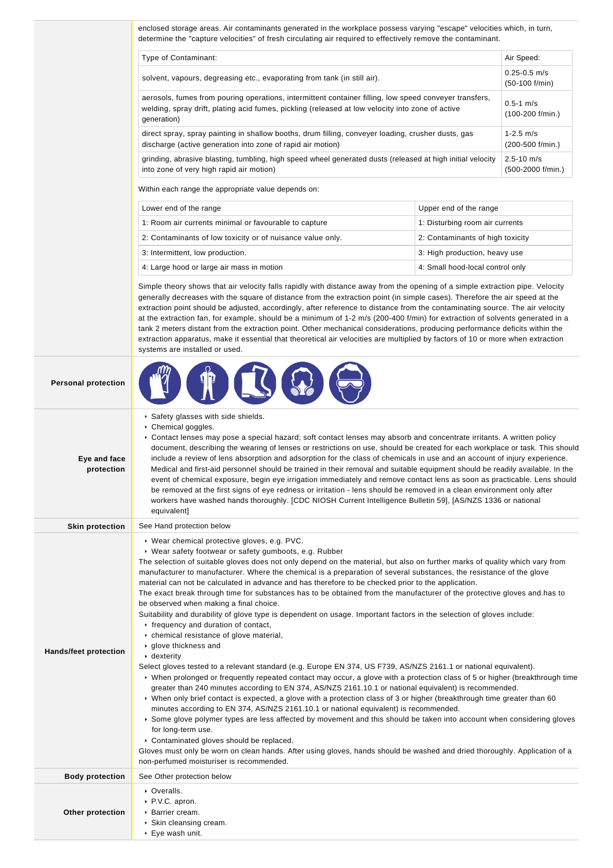| Type of Contaminant:                                                                                                                                                                                                                                                                                                                                                                          |                                                                                                                              | Air Speed:                            |
|-----------------------------------------------------------------------------------------------------------------------------------------------------------------------------------------------------------------------------------------------------------------------------------------------------------------------------------------------------------------------------------------------|------------------------------------------------------------------------------------------------------------------------------|---------------------------------------|
| solvent, vapours, degreasing etc., evaporating from tank (in still air).                                                                                                                                                                                                                                                                                                                      |                                                                                                                              | $0.25 - 0.5$ m/s<br>$(50-100)$ f/min) |
| aerosols, fumes from pouring operations, intermittent container filling, low speed conveyer transfers,<br>welding, spray drift, plating acid fumes, pickling (released at low velocity into zone of active<br>generation)                                                                                                                                                                     |                                                                                                                              | $0.5 - 1$ m/s<br>(100-200 f/min.)     |
| direct spray, spray painting in shallow booths, drum filling, conveyer loading, crusher dusts, gas<br>discharge (active generation into zone of rapid air motion)                                                                                                                                                                                                                             |                                                                                                                              | $1 - 2.5$ m/s<br>(200-500 f/min.)     |
| grinding, abrasive blasting, tumbling, high speed wheel generated dusts (released at high initial velocity<br>into zone of very high rapid air motion)                                                                                                                                                                                                                                        |                                                                                                                              | $2.5 - 10$ m/s<br>(500-2000 f/min.)   |
| Within each range the appropriate value depends on:                                                                                                                                                                                                                                                                                                                                           |                                                                                                                              |                                       |
| Lower end of the range                                                                                                                                                                                                                                                                                                                                                                        | Upper end of the range                                                                                                       |                                       |
| 1: Room air currents minimal or favourable to capture                                                                                                                                                                                                                                                                                                                                         | 1: Disturbing room air currents                                                                                              |                                       |
| 2: Contaminants of low toxicity or of nuisance value only.                                                                                                                                                                                                                                                                                                                                    | 2: Contaminants of high toxicity                                                                                             |                                       |
| 3: Intermittent, low production.                                                                                                                                                                                                                                                                                                                                                              | 3: High production, heavy use                                                                                                |                                       |
| 4: Large hood or large air mass in motion                                                                                                                                                                                                                                                                                                                                                     | 4: Small hood-local control only                                                                                             |                                       |
| Simple theory shows that air velocity falls rapidly with distance away from the opening of a simple extraction pipe. Velocity<br>generally decreases with the square of distance from the extraction point (in simple cases). Therefore the air speed at the<br>extraction point should be adjusted, accordingly, after reference to distance from the contaminating source. The air velocity | at the extraction fan, for example, should be a minimum of 1-2 m/s (200-400 f/min) for extraction of solvents generated in a |                                       |

| <b>Personal protection</b>   |                                                                                                                                                                                                                                                                                                                                                                                                                                                                                                                                                                                                                                                                                                                                                                                                                                                                                                                                                                                                                                                                                                                                                                                                                                                                                                                                                                                                                                                                                                                                                                                                                                                                                                                                                                                                                                                        |
|------------------------------|--------------------------------------------------------------------------------------------------------------------------------------------------------------------------------------------------------------------------------------------------------------------------------------------------------------------------------------------------------------------------------------------------------------------------------------------------------------------------------------------------------------------------------------------------------------------------------------------------------------------------------------------------------------------------------------------------------------------------------------------------------------------------------------------------------------------------------------------------------------------------------------------------------------------------------------------------------------------------------------------------------------------------------------------------------------------------------------------------------------------------------------------------------------------------------------------------------------------------------------------------------------------------------------------------------------------------------------------------------------------------------------------------------------------------------------------------------------------------------------------------------------------------------------------------------------------------------------------------------------------------------------------------------------------------------------------------------------------------------------------------------------------------------------------------------------------------------------------------------|
| Eye and face<br>protection   | Safety glasses with side shields.<br>Chemical goggles.<br>► Contact lenses may pose a special hazard; soft contact lenses may absorb and concentrate irritants. A written policy<br>document, describing the wearing of lenses or restrictions on use, should be created for each workplace or task. This should<br>include a review of lens absorption and adsorption for the class of chemicals in use and an account of injury experience.<br>Medical and first-aid personnel should be trained in their removal and suitable equipment should be readily available. In the<br>event of chemical exposure, begin eye irrigation immediately and remove contact lens as soon as practicable. Lens should<br>be removed at the first signs of eye redness or irritation - lens should be removed in a clean environment only after<br>workers have washed hands thoroughly. [CDC NIOSH Current Intelligence Bulletin 59], [AS/NZS 1336 or national<br>equivalent]                                                                                                                                                                                                                                                                                                                                                                                                                                                                                                                                                                                                                                                                                                                                                                                                                                                                                     |
| <b>Skin protection</b>       | See Hand protection below                                                                                                                                                                                                                                                                                                                                                                                                                                                                                                                                                                                                                                                                                                                                                                                                                                                                                                                                                                                                                                                                                                                                                                                                                                                                                                                                                                                                                                                                                                                                                                                                                                                                                                                                                                                                                              |
| <b>Hands/feet protection</b> | ▶ Wear chemical protective gloves, e.g. PVC.<br>• Wear safety footwear or safety gumboots, e.g. Rubber<br>The selection of suitable gloves does not only depend on the material, but also on further marks of quality which vary from<br>manufacturer to manufacturer. Where the chemical is a preparation of several substances, the resistance of the glove<br>material can not be calculated in advance and has therefore to be checked prior to the application.<br>The exact break through time for substances has to be obtained from the manufacturer of the protective gloves and has to<br>be observed when making a final choice.<br>Suitability and durability of glove type is dependent on usage. Important factors in the selection of gloves include:<br>r frequency and duration of contact,<br>• chemical resistance of glove material,<br>▶ glove thickness and<br>dexterity<br>Select gloves tested to a relevant standard (e.g. Europe EN 374, US F739, AS/NZS 2161.1 or national equivalent).<br>► When prolonged or frequently repeated contact may occur, a glove with a protection class of 5 or higher (breakthrough time<br>greater than 240 minutes according to EN 374, AS/NZS 2161.10.1 or national equivalent) is recommended.<br>► When only brief contact is expected, a glove with a protection class of 3 or higher (breakthrough time greater than 60<br>minutes according to EN 374, AS/NZS 2161.10.1 or national equivalent) is recommended.<br>▶ Some glove polymer types are less affected by movement and this should be taken into account when considering gloves<br>for long-term use.<br>Contaminated gloves should be replaced.<br>Gloves must only be worn on clean hands. After using gloves, hands should be washed and dried thoroughly. Application of a<br>non-perfumed moisturiser is recommended. |
| <b>Body protection</b>       | See Other protection below                                                                                                                                                                                                                                                                                                                                                                                                                                                                                                                                                                                                                                                                                                                                                                                                                                                                                                                                                                                                                                                                                                                                                                                                                                                                                                                                                                                                                                                                                                                                                                                                                                                                                                                                                                                                                             |
| Other protection             | • Overalls.<br>P.V.C. apron.<br>Barrier cream.<br>▶ Skin cleansing cream.<br>▶ Eye wash unit.                                                                                                                                                                                                                                                                                                                                                                                                                                                                                                                                                                                                                                                                                                                                                                                                                                                                                                                                                                                                                                                                                                                                                                                                                                                                                                                                                                                                                                                                                                                                                                                                                                                                                                                                                          |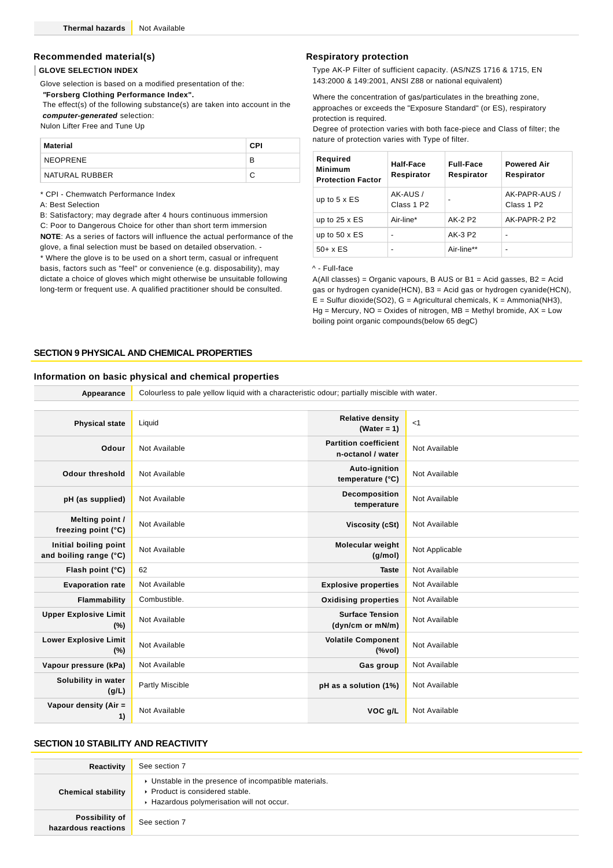### **Recommended material(s)**

#### **GLOVE SELECTION INDEX**

Glove selection is based on a modified presentation of the:

 **"Forsberg Clothing Performance Index".**

 The effect(s) of the following substance(s) are taken into account in the **computer-generated** selection:

Nulon Lifter Free and Tune Up

| Material       | <b>CPI</b> |
|----------------|------------|
| NEOPRENE       | В          |
| NATURAL RUBBER |            |

\* CPI - Chemwatch Performance Index

A: Best Selection

B: Satisfactory; may degrade after 4 hours continuous immersion

C: Poor to Dangerous Choice for other than short term immersion

**NOTE**: As a series of factors will influence the actual performance of the glove, a final selection must be based on detailed observation. - \* Where the glove is to be used on a short term, casual or infrequent

basis, factors such as "feel" or convenience (e.g. disposability), may dictate a choice of gloves which might otherwise be unsuitable following long-term or frequent use. A qualified practitioner should be consulted.

#### **Respiratory protection**

Type AK-P Filter of sufficient capacity. (AS/NZS 1716 & 1715, EN 143:2000 & 149:2001, ANSI Z88 or national equivalent)

Where the concentration of gas/particulates in the breathing zone, approaches or exceeds the "Exposure Standard" (or ES), respiratory protection is required.

Degree of protection varies with both face-piece and Class of filter; the nature of protection varies with Type of filter.

| Required<br><b>Minimum</b><br><b>Protection Factor</b> | Half-Face<br>Respirator            | <b>Full-Face</b><br>Respirator | <b>Powered Air</b><br>Respirator        |
|--------------------------------------------------------|------------------------------------|--------------------------------|-----------------------------------------|
| up to $5 \times ES$                                    | AK-AUS /<br>Class 1 P <sub>2</sub> | $\blacksquare$                 | AK-PAPR-AUS /<br>Class 1 P <sub>2</sub> |
| up to $25 \times ES$                                   | Air-line*                          | AK-2 P2                        | AK-PAPR-2 P2                            |
| up to $50 \times ES$                                   |                                    | AK-3 P2                        |                                         |
| $50+ x ES$                                             | $\blacksquare$                     | Air-line**                     | $\overline{\phantom{0}}$                |

^ - Full-face

A(All classes) = Organic vapours, B AUS or B1 = Acid gasses, B2 = Acid gas or hydrogen cyanide(HCN), B3 = Acid gas or hydrogen cyanide(HCN),  $E =$  Sulfur dioxide(SO2), G = Agricultural chemicals, K = Ammonia(NH3),  $Ha = Mercury$ ,  $NO = Oxides$  of nitrogen,  $MB = Methyl$  bromide,  $AX = Low$ boiling point organic compounds(below 65 degC)

#### **SECTION 9 PHYSICAL AND CHEMICAL PROPERTIES**

#### **Information on basic physical and chemical properties**

| Appearance                                      | Colourless to pale yellow liquid with a characteristic odour; partially miscible with water. |                                                   |                |  |
|-------------------------------------------------|----------------------------------------------------------------------------------------------|---------------------------------------------------|----------------|--|
|                                                 |                                                                                              |                                                   |                |  |
| <b>Physical state</b>                           | Liquid                                                                                       | <b>Relative density</b><br>(Water = $1$ )         | <1             |  |
| Odour                                           | Not Available                                                                                | <b>Partition coefficient</b><br>n-octanol / water | Not Available  |  |
| <b>Odour threshold</b>                          | Not Available                                                                                | Auto-ignition<br>temperature (°C)                 | Not Available  |  |
| pH (as supplied)                                | Not Available                                                                                | Decomposition<br>temperature                      | Not Available  |  |
| Melting point /<br>freezing point (°C)          | Not Available                                                                                | Viscosity (cSt)                                   | Not Available  |  |
| Initial boiling point<br>and boiling range (°C) | Not Available                                                                                | Molecular weight<br>(q/mol)                       | Not Applicable |  |
| Flash point (°C)                                | 62                                                                                           | <b>Taste</b>                                      | Not Available  |  |
| <b>Evaporation rate</b>                         | Not Available                                                                                | <b>Explosive properties</b>                       | Not Available  |  |
| Flammability                                    | Combustible.                                                                                 | <b>Oxidising properties</b>                       | Not Available  |  |
| <b>Upper Explosive Limit</b><br>(%)             | Not Available                                                                                | <b>Surface Tension</b><br>(dyn/cm or mN/m)        | Not Available  |  |
| <b>Lower Explosive Limit</b><br>$(\%)$          | Not Available                                                                                | <b>Volatile Component</b><br>(%                   | Not Available  |  |
| Vapour pressure (kPa)                           | Not Available                                                                                | Gas group                                         | Not Available  |  |
| Solubility in water<br>(g/L)                    | Partly Miscible                                                                              | pH as a solution (1%)                             | Not Available  |  |
| Vapour density (Air =<br>1)                     | Not Available                                                                                | VOC g/L                                           | Not Available  |  |

#### **SECTION 10 STABILITY AND REACTIVITY**

| Reactivity                            | See section 7                                                                                                                          |
|---------------------------------------|----------------------------------------------------------------------------------------------------------------------------------------|
| <b>Chemical stability</b>             | • Unstable in the presence of incompatible materials.<br>▶ Product is considered stable.<br>▶ Hazardous polymerisation will not occur. |
| Possibility of<br>hazardous reactions | See section 7                                                                                                                          |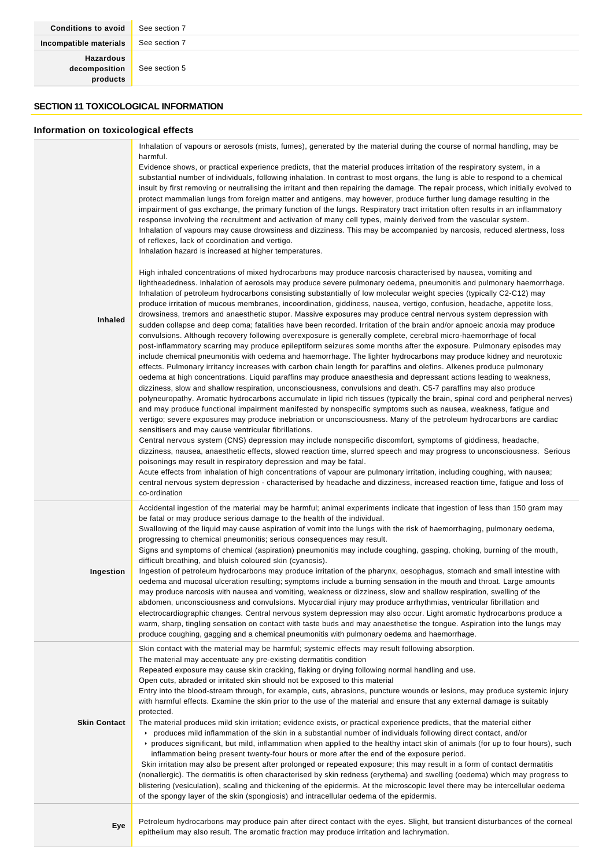See section 5

**SECTION 11 TOXICOLOGICAL INFORMATION**

### **Information on toxicological effects**

| Inhaled             | Inhalation of vapours or aerosols (mists, fumes), generated by the material during the course of normal handling, may be<br>harmful.<br>Evidence shows, or practical experience predicts, that the material produces irritation of the respiratory system, in a<br>substantial number of individuals, following inhalation. In contrast to most organs, the lung is able to respond to a chemical<br>insult by first removing or neutralising the irritant and then repairing the damage. The repair process, which initially evolved to<br>protect mammalian lungs from foreign matter and antigens, may however, produce further lung damage resulting in the<br>impairment of gas exchange, the primary function of the lungs. Respiratory tract irritation often results in an inflammatory<br>response involving the recruitment and activation of many cell types, mainly derived from the vascular system.<br>Inhalation of vapours may cause drowsiness and dizziness. This may be accompanied by narcosis, reduced alertness, loss<br>of reflexes, lack of coordination and vertigo.<br>Inhalation hazard is increased at higher temperatures.<br>High inhaled concentrations of mixed hydrocarbons may produce narcosis characterised by nausea, vomiting and<br>lightheadedness. Inhalation of aerosols may produce severe pulmonary oedema, pneumonitis and pulmonary haemorrhage.<br>Inhalation of petroleum hydrocarbons consisting substantially of low molecular weight species (typically C2-C12) may<br>produce irritation of mucous membranes, incoordination, giddiness, nausea, vertigo, confusion, headache, appetite loss,<br>drowsiness, tremors and anaesthetic stupor. Massive exposures may produce central nervous system depression with<br>sudden collapse and deep coma; fatalities have been recorded. Irritation of the brain and/or apnoeic anoxia may produce<br>convulsions. Although recovery following overexposure is generally complete, cerebral micro-haemorrhage of focal<br>post-inflammatory scarring may produce epileptiform seizures some months after the exposure. Pulmonary episodes may<br>include chemical pneumonitis with oedema and haemorrhage. The lighter hydrocarbons may produce kidney and neurotoxic<br>effects. Pulmonary irritancy increases with carbon chain length for paraffins and olefins. Alkenes produce pulmonary<br>oedema at high concentrations. Liquid paraffins may produce anaesthesia and depressant actions leading to weakness,<br>dizziness, slow and shallow respiration, unconsciousness, convulsions and death. C5-7 paraffins may also produce<br>polyneuropathy. Aromatic hydrocarbons accumulate in lipid rich tissues (typically the brain, spinal cord and peripheral nerves)<br>and may produce functional impairment manifested by nonspecific symptoms such as nausea, weakness, fatigue and<br>vertigo; severe exposures may produce inebriation or unconsciousness. Many of the petroleum hydrocarbons are cardiac<br>sensitisers and may cause ventricular fibrillations.<br>Central nervous system (CNS) depression may include nonspecific discomfort, symptoms of giddiness, headache,<br>dizziness, nausea, anaesthetic effects, slowed reaction time, slurred speech and may progress to unconsciousness. Serious<br>poisonings may result in respiratory depression and may be fatal.<br>Acute effects from inhalation of high concentrations of vapour are pulmonary irritation, including coughing, with nausea;<br>central nervous system depression - characterised by headache and dizziness, increased reaction time, fatigue and loss of<br>co-ordination |
|---------------------|--------------------------------------------------------------------------------------------------------------------------------------------------------------------------------------------------------------------------------------------------------------------------------------------------------------------------------------------------------------------------------------------------------------------------------------------------------------------------------------------------------------------------------------------------------------------------------------------------------------------------------------------------------------------------------------------------------------------------------------------------------------------------------------------------------------------------------------------------------------------------------------------------------------------------------------------------------------------------------------------------------------------------------------------------------------------------------------------------------------------------------------------------------------------------------------------------------------------------------------------------------------------------------------------------------------------------------------------------------------------------------------------------------------------------------------------------------------------------------------------------------------------------------------------------------------------------------------------------------------------------------------------------------------------------------------------------------------------------------------------------------------------------------------------------------------------------------------------------------------------------------------------------------------------------------------------------------------------------------------------------------------------------------------------------------------------------------------------------------------------------------------------------------------------------------------------------------------------------------------------------------------------------------------------------------------------------------------------------------------------------------------------------------------------------------------------------------------------------------------------------------------------------------------------------------------------------------------------------------------------------------------------------------------------------------------------------------------------------------------------------------------------------------------------------------------------------------------------------------------------------------------------------------------------------------------------------------------------------------------------------------------------------------------------------------------------------------------------------------------------------------------------------------------------------------------------------------------------------------------------------------------------------------------------------------------------------------------------------------------------------------------------------------------------------------------------------------------------------------------------------------------------------------------------------------------------------------------------------------------------------------------------------------------------------|
| Ingestion           | Accidental ingestion of the material may be harmful; animal experiments indicate that ingestion of less than 150 gram may<br>be fatal or may produce serious damage to the health of the individual.<br>Swallowing of the liquid may cause aspiration of vomit into the lungs with the risk of haemorrhaging, pulmonary oedema,<br>progressing to chemical pneumonitis; serious consequences may result.<br>Signs and symptoms of chemical (aspiration) pneumonitis may include coughing, gasping, choking, burning of the mouth,<br>difficult breathing, and bluish coloured skin (cyanosis).<br>Ingestion of petroleum hydrocarbons may produce irritation of the pharynx, oesophagus, stomach and small intestine with<br>oedema and mucosal ulceration resulting; symptoms include a burning sensation in the mouth and throat. Large amounts<br>may produce narcosis with nausea and vomiting, weakness or dizziness, slow and shallow respiration, swelling of the<br>abdomen, unconsciousness and convulsions. Myocardial injury may produce arrhythmias, ventricular fibrillation and<br>electrocardiographic changes. Central nervous system depression may also occur. Light aromatic hydrocarbons produce a<br>warm, sharp, tingling sensation on contact with taste buds and may anaesthetise the tongue. Aspiration into the lungs may<br>produce coughing, gagging and a chemical pneumonitis with pulmonary oedema and haemorrhage.                                                                                                                                                                                                                                                                                                                                                                                                                                                                                                                                                                                                                                                                                                                                                                                                                                                                                                                                                                                                                                                                                                                                                                                                                                                                                                                                                                                                                                                                                                                                                                                                                                                                                                                                                                                                                                                                                                                                                                                                                                                                                                                                                                                                                       |
| <b>Skin Contact</b> | Skin contact with the material may be harmful; systemic effects may result following absorption.<br>The material may accentuate any pre-existing dermatitis condition<br>Repeated exposure may cause skin cracking, flaking or drying following normal handling and use.<br>Open cuts, abraded or irritated skin should not be exposed to this material<br>Entry into the blood-stream through, for example, cuts, abrasions, puncture wounds or lesions, may produce systemic injury<br>with harmful effects. Examine the skin prior to the use of the material and ensure that any external damage is suitably<br>protected.<br>The material produces mild skin irritation; evidence exists, or practical experience predicts, that the material either<br>► produces mild inflammation of the skin in a substantial number of individuals following direct contact, and/or<br>▶ produces significant, but mild, inflammation when applied to the healthy intact skin of animals (for up to four hours), such<br>inflammation being present twenty-four hours or more after the end of the exposure period.<br>Skin irritation may also be present after prolonged or repeated exposure; this may result in a form of contact dermatitis<br>(nonallergic). The dermatitis is often characterised by skin redness (erythema) and swelling (oedema) which may progress to<br>blistering (vesiculation), scaling and thickening of the epidermis. At the microscopic level there may be intercellular oedema<br>of the spongy layer of the skin (spongiosis) and intracellular oedema of the epidermis.                                                                                                                                                                                                                                                                                                                                                                                                                                                                                                                                                                                                                                                                                                                                                                                                                                                                                                                                                                                                                                                                                                                                                                                                                                                                                                                                                                                                                                                                                                                                                                                                                                                                                                                                                                                                                                                                                                                                                                                                                                                                   |
| Eye                 | Petroleum hydrocarbons may produce pain after direct contact with the eyes. Slight, but transient disturbances of the corneal<br>epithelium may also result. The aromatic fraction may produce irritation and lachrymation.                                                                                                                                                                                                                                                                                                                                                                                                                                                                                                                                                                                                                                                                                                                                                                                                                                                                                                                                                                                                                                                                                                                                                                                                                                                                                                                                                                                                                                                                                                                                                                                                                                                                                                                                                                                                                                                                                                                                                                                                                                                                                                                                                                                                                                                                                                                                                                                                                                                                                                                                                                                                                                                                                                                                                                                                                                                                                                                                                                                                                                                                                                                                                                                                                                                                                                                                                                                                                                              |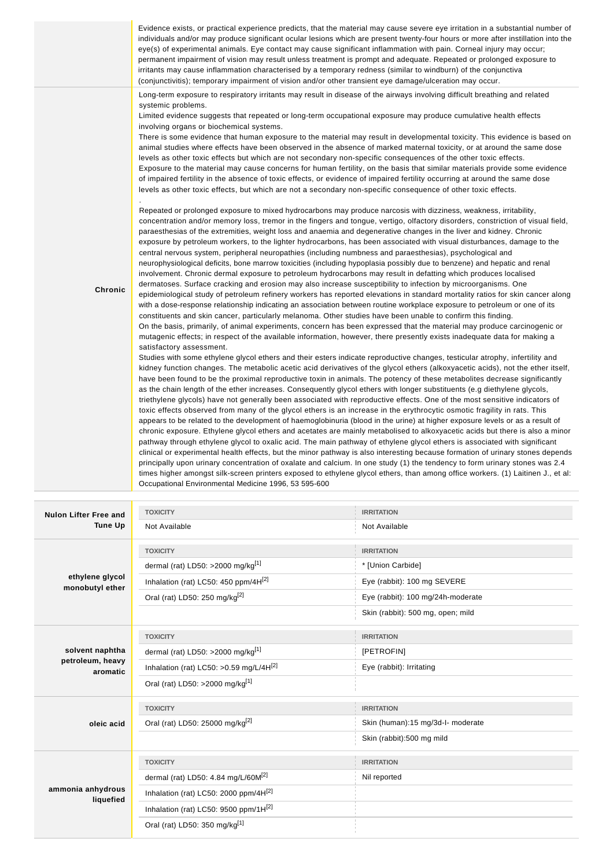|                              | eye(s) of experimental animals. Eye contact may cause significant inflammation with pain. Corneal injury may occur;<br>permanent impairment of vision may result unless treatment is prompt and adequate. Repeated or prolonged exposure to<br>irritants may cause inflammation characterised by a temporary redness (similar to windburn) of the conjunctiva<br>(conjunctivitis); temporary impairment of vision and/or other transient eye damage/ulceration may occur.                                                                                                                                                                                                                                                                                                                                                                                                                                                                                                                                                                                                                                                                                                                                                                                                                                                                                                                                                                                                                                                                                                                                                                                                                                                                                                                                                                                                                                                                                                                                                                                                                                                                                                                                                                                                                                                                                                                                                                                                                                                                                                                                                                                                                                                                                                                                                                                                                                                                                                                                                                                                                                                                                                                                                                                                                                                                                                                                                                                                                                                                                                                                                                                                                                    | Evidence exists, or practical experience predicts, that the material may cause severe eye irritation in a substantial number of<br>individuals and/or may produce significant ocular lesions which are present twenty-four hours or more after instillation into the                                                                                                                                                                                                                                                                                                                                                                                              |
|------------------------------|--------------------------------------------------------------------------------------------------------------------------------------------------------------------------------------------------------------------------------------------------------------------------------------------------------------------------------------------------------------------------------------------------------------------------------------------------------------------------------------------------------------------------------------------------------------------------------------------------------------------------------------------------------------------------------------------------------------------------------------------------------------------------------------------------------------------------------------------------------------------------------------------------------------------------------------------------------------------------------------------------------------------------------------------------------------------------------------------------------------------------------------------------------------------------------------------------------------------------------------------------------------------------------------------------------------------------------------------------------------------------------------------------------------------------------------------------------------------------------------------------------------------------------------------------------------------------------------------------------------------------------------------------------------------------------------------------------------------------------------------------------------------------------------------------------------------------------------------------------------------------------------------------------------------------------------------------------------------------------------------------------------------------------------------------------------------------------------------------------------------------------------------------------------------------------------------------------------------------------------------------------------------------------------------------------------------------------------------------------------------------------------------------------------------------------------------------------------------------------------------------------------------------------------------------------------------------------------------------------------------------------------------------------------------------------------------------------------------------------------------------------------------------------------------------------------------------------------------------------------------------------------------------------------------------------------------------------------------------------------------------------------------------------------------------------------------------------------------------------------------------------------------------------------------------------------------------------------------------------------------------------------------------------------------------------------------------------------------------------------------------------------------------------------------------------------------------------------------------------------------------------------------------------------------------------------------------------------------------------------------------------------------------------------------------------------------------------------|-------------------------------------------------------------------------------------------------------------------------------------------------------------------------------------------------------------------------------------------------------------------------------------------------------------------------------------------------------------------------------------------------------------------------------------------------------------------------------------------------------------------------------------------------------------------------------------------------------------------------------------------------------------------|
| Chronic                      | Long-term exposure to respiratory irritants may result in disease of the airways involving difficult breathing and related<br>systemic problems.<br>Limited evidence suggests that repeated or long-term occupational exposure may produce cumulative health effects<br>involving organs or biochemical systems.<br>animal studies where effects have been observed in the absence of marked maternal toxicity, or at around the same dose<br>levels as other toxic effects but which are not secondary non-specific consequences of the other toxic effects.<br>Exposure to the material may cause concerns for human fertility, on the basis that similar materials provide some evidence<br>of impaired fertility in the absence of toxic effects, or evidence of impaired fertility occurring at around the same dose<br>levels as other toxic effects, but which are not a secondary non-specific consequence of other toxic effects.<br>Repeated or prolonged exposure to mixed hydrocarbons may produce narcosis with dizziness, weakness, irritability,<br>concentration and/or memory loss, tremor in the fingers and tongue, vertigo, olfactory disorders, constriction of visual field,<br>paraesthesias of the extremities, weight loss and anaemia and degenerative changes in the liver and kidney. Chronic<br>exposure by petroleum workers, to the lighter hydrocarbons, has been associated with visual disturbances, damage to the<br>central nervous system, peripheral neuropathies (including numbness and paraesthesias), psychological and<br>neurophysiological deficits, bone marrow toxicities (including hypoplasia possibly due to benzene) and hepatic and renal<br>involvement. Chronic dermal exposure to petroleum hydrocarbons may result in defatting which produces localised<br>dermatoses. Surface cracking and erosion may also increase susceptibility to infection by microorganisms. One<br>with a dose-response relationship indicating an association between routine workplace exposure to petroleum or one of its<br>constituents and skin cancer, particularly melanoma. Other studies have been unable to confirm this finding.<br>On the basis, primarily, of animal experiments, concern has been expressed that the material may produce carcinogenic or<br>mutagenic effects; in respect of the available information, however, there presently exists inadequate data for making a<br>satisfactory assessment.<br>Studies with some ethylene glycol ethers and their esters indicate reproductive changes, testicular atrophy, infertility and<br>kidney function changes. The metabolic acetic acid derivatives of the glycol ethers (alkoxyacetic acids), not the ether itself,<br>have been found to be the proximal reproductive toxin in animals. The potency of these metabolites decrease significantly<br>as the chain length of the ether increases. Consequently glycol ethers with longer substituents (e.g diethylene glycols,<br>triethylene glycols) have not generally been associated with reproductive effects. One of the most sensitive indicators of<br>toxic effects observed from many of the glycol ethers is an increase in the erythrocytic osmotic fragility in rats. This<br>appears to be related to the development of haemoglobinuria (blood in the urine) at higher exposure levels or as a result of<br>pathway through ethylene glycol to oxalic acid. The main pathway of ethylene glycol ethers is associated with significant<br>principally upon urinary concentration of oxalate and calcium. In one study (1) the tendency to form urinary stones was 2.4<br>Occupational Environmental Medicine 1996, 53 595-600 | There is some evidence that human exposure to the material may result in developmental toxicity. This evidence is based on<br>epidemiological study of petroleum refinery workers has reported elevations in standard mortality ratios for skin cancer along<br>chronic exposure. Ethylene glycol ethers and acetates are mainly metabolised to alkoxyacetic acids but there is also a minor<br>clinical or experimental health effects, but the minor pathway is also interesting because formation of urinary stones depends<br>times higher amongst silk-screen printers exposed to ethylene glycol ethers, than among office workers. (1) Laitinen J., et al: |
| <b>Nulon Lifter Free and</b> | <b>TOXICITY</b>                                                                                                                                                                                                                                                                                                                                                                                                                                                                                                                                                                                                                                                                                                                                                                                                                                                                                                                                                                                                                                                                                                                                                                                                                                                                                                                                                                                                                                                                                                                                                                                                                                                                                                                                                                                                                                                                                                                                                                                                                                                                                                                                                                                                                                                                                                                                                                                                                                                                                                                                                                                                                                                                                                                                                                                                                                                                                                                                                                                                                                                                                                                                                                                                                                                                                                                                                                                                                                                                                                                                                                                                                                                                                              | <b>IRRITATION</b>                                                                                                                                                                                                                                                                                                                                                                                                                                                                                                                                                                                                                                                 |
| Tune Up                      | Not Available                                                                                                                                                                                                                                                                                                                                                                                                                                                                                                                                                                                                                                                                                                                                                                                                                                                                                                                                                                                                                                                                                                                                                                                                                                                                                                                                                                                                                                                                                                                                                                                                                                                                                                                                                                                                                                                                                                                                                                                                                                                                                                                                                                                                                                                                                                                                                                                                                                                                                                                                                                                                                                                                                                                                                                                                                                                                                                                                                                                                                                                                                                                                                                                                                                                                                                                                                                                                                                                                                                                                                                                                                                                                                                | Not Available                                                                                                                                                                                                                                                                                                                                                                                                                                                                                                                                                                                                                                                     |
|                              | <b>TOXICITY</b>                                                                                                                                                                                                                                                                                                                                                                                                                                                                                                                                                                                                                                                                                                                                                                                                                                                                                                                                                                                                                                                                                                                                                                                                                                                                                                                                                                                                                                                                                                                                                                                                                                                                                                                                                                                                                                                                                                                                                                                                                                                                                                                                                                                                                                                                                                                                                                                                                                                                                                                                                                                                                                                                                                                                                                                                                                                                                                                                                                                                                                                                                                                                                                                                                                                                                                                                                                                                                                                                                                                                                                                                                                                                                              | <b>IRRITATION</b>                                                                                                                                                                                                                                                                                                                                                                                                                                                                                                                                                                                                                                                 |
|                              | dormal (rat) $1.050 \times 2000$ ma/ka $[1]$                                                                                                                                                                                                                                                                                                                                                                                                                                                                                                                                                                                                                                                                                                                                                                                                                                                                                                                                                                                                                                                                                                                                                                                                                                                                                                                                                                                                                                                                                                                                                                                                                                                                                                                                                                                                                                                                                                                                                                                                                                                                                                                                                                                                                                                                                                                                                                                                                                                                                                                                                                                                                                                                                                                                                                                                                                                                                                                                                                                                                                                                                                                                                                                                                                                                                                                                                                                                                                                                                                                                                                                                                                                                 | * Illnion Carbidel                                                                                                                                                                                                                                                                                                                                                                                                                                                                                                                                                                                                                                                |

| ethylene glycol<br>monobutyl ether | dermal (rat) LD50: >2000 mg/kg $[1]$              | * [Union Carbide]                 |
|------------------------------------|---------------------------------------------------|-----------------------------------|
|                                    | Inhalation (rat) LC50: 450 ppm/4H <sup>[2]</sup>  | Eye (rabbit): 100 mg SEVERE       |
|                                    | Oral (rat) LD50: 250 mg/kg <sup>[2]</sup>         | Eye (rabbit): 100 mg/24h-moderate |
|                                    |                                                   | Skin (rabbit): 500 mg, open; mild |
|                                    | <b>TOXICITY</b>                                   | <b>IRRITATION</b>                 |
| solvent naphtha                    | dermal (rat) LD50: >2000 mg/kg <sup>[1]</sup>     | [PETROFIN]                        |
| petroleum, heavy<br>aromatic       | Inhalation (rat) LC50: >0.59 mg/L/4H $^{[2]}$     | Eye (rabbit): Irritating          |
|                                    | Oral (rat) LD50: >2000 mg/kg <sup>[1]</sup>       |                                   |
|                                    | <b>TOXICITY</b>                                   | <b>IRRITATION</b>                 |
| oleic acid                         | Oral (rat) LD50: 25000 mg/kg <sup>[2]</sup>       | Skin (human):15 mg/3d-l- moderate |
|                                    |                                                   | Skin (rabbit):500 mg mild         |
|                                    | <b>TOXICITY</b>                                   | <b>IRRITATION</b>                 |
| ammonia anhydrous<br>liquefied     | dermal (rat) LD50: 4.84 mg/L/60M <sup>[2]</sup>   | Nil reported                      |
|                                    | Inhalation (rat) LC50: 2000 ppm/4H[2]             |                                   |
|                                    | Inhalation (rat) LC50: 9500 ppm/1H <sup>[2]</sup> |                                   |
|                                    | Oral (rat) LD50: 350 mg/kg <sup>[1]</sup>         |                                   |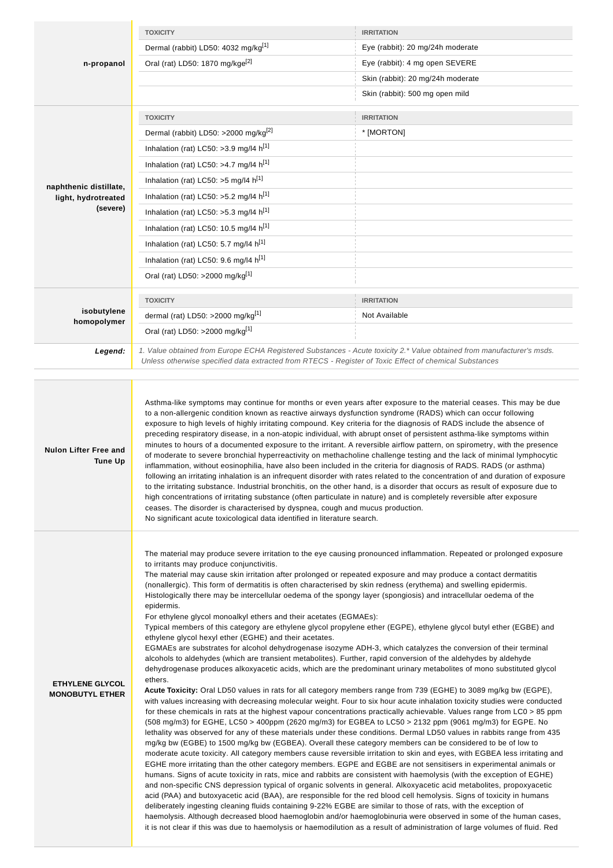|                                                  | <b>TOXICITY</b>                                                                                                                                                                                                                                                                                                                                                                                                                                                                                                                                                                                                                                                                                                                                                                                                                                                                                                                                                                                                                                                                                                                                                                                                                                                                                                                                                                                                                                                                                                                                                                                                                                                                                                                                                                                                                                                                                                                                                                                                                                                                                                                                                                                                                                                                                                                                                                                                                                                                                                                                                                                                                                                                                                                                                                                                                                                                                                  | <b>IRRITATION</b>                                                                                                      |  |
|--------------------------------------------------|------------------------------------------------------------------------------------------------------------------------------------------------------------------------------------------------------------------------------------------------------------------------------------------------------------------------------------------------------------------------------------------------------------------------------------------------------------------------------------------------------------------------------------------------------------------------------------------------------------------------------------------------------------------------------------------------------------------------------------------------------------------------------------------------------------------------------------------------------------------------------------------------------------------------------------------------------------------------------------------------------------------------------------------------------------------------------------------------------------------------------------------------------------------------------------------------------------------------------------------------------------------------------------------------------------------------------------------------------------------------------------------------------------------------------------------------------------------------------------------------------------------------------------------------------------------------------------------------------------------------------------------------------------------------------------------------------------------------------------------------------------------------------------------------------------------------------------------------------------------------------------------------------------------------------------------------------------------------------------------------------------------------------------------------------------------------------------------------------------------------------------------------------------------------------------------------------------------------------------------------------------------------------------------------------------------------------------------------------------------------------------------------------------------------------------------------------------------------------------------------------------------------------------------------------------------------------------------------------------------------------------------------------------------------------------------------------------------------------------------------------------------------------------------------------------------------------------------------------------------------------------------------------------------|------------------------------------------------------------------------------------------------------------------------|--|
|                                                  | Dermal (rabbit) LD50: 4032 mg/kg[1]<br>Eye (rabbit): 20 mg/24h moderate                                                                                                                                                                                                                                                                                                                                                                                                                                                                                                                                                                                                                                                                                                                                                                                                                                                                                                                                                                                                                                                                                                                                                                                                                                                                                                                                                                                                                                                                                                                                                                                                                                                                                                                                                                                                                                                                                                                                                                                                                                                                                                                                                                                                                                                                                                                                                                                                                                                                                                                                                                                                                                                                                                                                                                                                                                          |                                                                                                                        |  |
| n-propanol                                       | Oral (rat) LD50: 1870 mg/kge <sup>[2]</sup><br>Eye (rabbit): 4 mg open SEVERE                                                                                                                                                                                                                                                                                                                                                                                                                                                                                                                                                                                                                                                                                                                                                                                                                                                                                                                                                                                                                                                                                                                                                                                                                                                                                                                                                                                                                                                                                                                                                                                                                                                                                                                                                                                                                                                                                                                                                                                                                                                                                                                                                                                                                                                                                                                                                                                                                                                                                                                                                                                                                                                                                                                                                                                                                                    |                                                                                                                        |  |
|                                                  |                                                                                                                                                                                                                                                                                                                                                                                                                                                                                                                                                                                                                                                                                                                                                                                                                                                                                                                                                                                                                                                                                                                                                                                                                                                                                                                                                                                                                                                                                                                                                                                                                                                                                                                                                                                                                                                                                                                                                                                                                                                                                                                                                                                                                                                                                                                                                                                                                                                                                                                                                                                                                                                                                                                                                                                                                                                                                                                  | Skin (rabbit): 20 mg/24h moderate                                                                                      |  |
|                                                  |                                                                                                                                                                                                                                                                                                                                                                                                                                                                                                                                                                                                                                                                                                                                                                                                                                                                                                                                                                                                                                                                                                                                                                                                                                                                                                                                                                                                                                                                                                                                                                                                                                                                                                                                                                                                                                                                                                                                                                                                                                                                                                                                                                                                                                                                                                                                                                                                                                                                                                                                                                                                                                                                                                                                                                                                                                                                                                                  | Skin (rabbit): 500 mg open mild                                                                                        |  |
|                                                  | <b>TOXICITY</b>                                                                                                                                                                                                                                                                                                                                                                                                                                                                                                                                                                                                                                                                                                                                                                                                                                                                                                                                                                                                                                                                                                                                                                                                                                                                                                                                                                                                                                                                                                                                                                                                                                                                                                                                                                                                                                                                                                                                                                                                                                                                                                                                                                                                                                                                                                                                                                                                                                                                                                                                                                                                                                                                                                                                                                                                                                                                                                  | <b>IRRITATION</b>                                                                                                      |  |
|                                                  | Dermal (rabbit) LD50: >2000 mg/kg <sup>[2]</sup>                                                                                                                                                                                                                                                                                                                                                                                                                                                                                                                                                                                                                                                                                                                                                                                                                                                                                                                                                                                                                                                                                                                                                                                                                                                                                                                                                                                                                                                                                                                                                                                                                                                                                                                                                                                                                                                                                                                                                                                                                                                                                                                                                                                                                                                                                                                                                                                                                                                                                                                                                                                                                                                                                                                                                                                                                                                                 | * [MORTON]                                                                                                             |  |
|                                                  | Inhalation (rat) LC50: >3.9 mg/l4 h[1]                                                                                                                                                                                                                                                                                                                                                                                                                                                                                                                                                                                                                                                                                                                                                                                                                                                                                                                                                                                                                                                                                                                                                                                                                                                                                                                                                                                                                                                                                                                                                                                                                                                                                                                                                                                                                                                                                                                                                                                                                                                                                                                                                                                                                                                                                                                                                                                                                                                                                                                                                                                                                                                                                                                                                                                                                                                                           |                                                                                                                        |  |
|                                                  | Inhalation (rat) LC50: >4.7 mg/l4 $h^{[1]}$                                                                                                                                                                                                                                                                                                                                                                                                                                                                                                                                                                                                                                                                                                                                                                                                                                                                                                                                                                                                                                                                                                                                                                                                                                                                                                                                                                                                                                                                                                                                                                                                                                                                                                                                                                                                                                                                                                                                                                                                                                                                                                                                                                                                                                                                                                                                                                                                                                                                                                                                                                                                                                                                                                                                                                                                                                                                      |                                                                                                                        |  |
| naphthenic distillate,                           | Inhalation (rat) LC50: >5 mg/l4 h <sup>[1]</sup>                                                                                                                                                                                                                                                                                                                                                                                                                                                                                                                                                                                                                                                                                                                                                                                                                                                                                                                                                                                                                                                                                                                                                                                                                                                                                                                                                                                                                                                                                                                                                                                                                                                                                                                                                                                                                                                                                                                                                                                                                                                                                                                                                                                                                                                                                                                                                                                                                                                                                                                                                                                                                                                                                                                                                                                                                                                                 |                                                                                                                        |  |
| light, hydrotreated                              | Inhalation (rat) LC50: >5.2 mg/l4 h <sup>[1]</sup>                                                                                                                                                                                                                                                                                                                                                                                                                                                                                                                                                                                                                                                                                                                                                                                                                                                                                                                                                                                                                                                                                                                                                                                                                                                                                                                                                                                                                                                                                                                                                                                                                                                                                                                                                                                                                                                                                                                                                                                                                                                                                                                                                                                                                                                                                                                                                                                                                                                                                                                                                                                                                                                                                                                                                                                                                                                               |                                                                                                                        |  |
| (severe)                                         | Inhalation (rat) LC50: >5.3 mg/l4 h[1]                                                                                                                                                                                                                                                                                                                                                                                                                                                                                                                                                                                                                                                                                                                                                                                                                                                                                                                                                                                                                                                                                                                                                                                                                                                                                                                                                                                                                                                                                                                                                                                                                                                                                                                                                                                                                                                                                                                                                                                                                                                                                                                                                                                                                                                                                                                                                                                                                                                                                                                                                                                                                                                                                                                                                                                                                                                                           |                                                                                                                        |  |
|                                                  | Inhalation (rat) LC50: 10.5 mg/l4 h <sup>[1]</sup>                                                                                                                                                                                                                                                                                                                                                                                                                                                                                                                                                                                                                                                                                                                                                                                                                                                                                                                                                                                                                                                                                                                                                                                                                                                                                                                                                                                                                                                                                                                                                                                                                                                                                                                                                                                                                                                                                                                                                                                                                                                                                                                                                                                                                                                                                                                                                                                                                                                                                                                                                                                                                                                                                                                                                                                                                                                               |                                                                                                                        |  |
|                                                  | Inhalation (rat) LC50: 5.7 mg/l4 h <sup>[1]</sup>                                                                                                                                                                                                                                                                                                                                                                                                                                                                                                                                                                                                                                                                                                                                                                                                                                                                                                                                                                                                                                                                                                                                                                                                                                                                                                                                                                                                                                                                                                                                                                                                                                                                                                                                                                                                                                                                                                                                                                                                                                                                                                                                                                                                                                                                                                                                                                                                                                                                                                                                                                                                                                                                                                                                                                                                                                                                |                                                                                                                        |  |
|                                                  | Inhalation (rat) LC50: 9.6 mg/l4 h[1]                                                                                                                                                                                                                                                                                                                                                                                                                                                                                                                                                                                                                                                                                                                                                                                                                                                                                                                                                                                                                                                                                                                                                                                                                                                                                                                                                                                                                                                                                                                                                                                                                                                                                                                                                                                                                                                                                                                                                                                                                                                                                                                                                                                                                                                                                                                                                                                                                                                                                                                                                                                                                                                                                                                                                                                                                                                                            |                                                                                                                        |  |
|                                                  | Oral (rat) LD50: >2000 mg/kg <sup>[1]</sup>                                                                                                                                                                                                                                                                                                                                                                                                                                                                                                                                                                                                                                                                                                                                                                                                                                                                                                                                                                                                                                                                                                                                                                                                                                                                                                                                                                                                                                                                                                                                                                                                                                                                                                                                                                                                                                                                                                                                                                                                                                                                                                                                                                                                                                                                                                                                                                                                                                                                                                                                                                                                                                                                                                                                                                                                                                                                      |                                                                                                                        |  |
|                                                  |                                                                                                                                                                                                                                                                                                                                                                                                                                                                                                                                                                                                                                                                                                                                                                                                                                                                                                                                                                                                                                                                                                                                                                                                                                                                                                                                                                                                                                                                                                                                                                                                                                                                                                                                                                                                                                                                                                                                                                                                                                                                                                                                                                                                                                                                                                                                                                                                                                                                                                                                                                                                                                                                                                                                                                                                                                                                                                                  |                                                                                                                        |  |
| isobutylene                                      | <b>TOXICITY</b><br>dermal (rat) LD50: >2000 mg/kg <sup>[1]</sup>                                                                                                                                                                                                                                                                                                                                                                                                                                                                                                                                                                                                                                                                                                                                                                                                                                                                                                                                                                                                                                                                                                                                                                                                                                                                                                                                                                                                                                                                                                                                                                                                                                                                                                                                                                                                                                                                                                                                                                                                                                                                                                                                                                                                                                                                                                                                                                                                                                                                                                                                                                                                                                                                                                                                                                                                                                                 | <b>IRRITATION</b><br>Not Available                                                                                     |  |
| homopolymer                                      | Oral (rat) LD50: >2000 mg/kg <sup>[1]</sup>                                                                                                                                                                                                                                                                                                                                                                                                                                                                                                                                                                                                                                                                                                                                                                                                                                                                                                                                                                                                                                                                                                                                                                                                                                                                                                                                                                                                                                                                                                                                                                                                                                                                                                                                                                                                                                                                                                                                                                                                                                                                                                                                                                                                                                                                                                                                                                                                                                                                                                                                                                                                                                                                                                                                                                                                                                                                      |                                                                                                                        |  |
|                                                  |                                                                                                                                                                                                                                                                                                                                                                                                                                                                                                                                                                                                                                                                                                                                                                                                                                                                                                                                                                                                                                                                                                                                                                                                                                                                                                                                                                                                                                                                                                                                                                                                                                                                                                                                                                                                                                                                                                                                                                                                                                                                                                                                                                                                                                                                                                                                                                                                                                                                                                                                                                                                                                                                                                                                                                                                                                                                                                                  |                                                                                                                        |  |
| Legend:                                          | Unless otherwise specified data extracted from RTECS - Register of Toxic Effect of chemical Substances                                                                                                                                                                                                                                                                                                                                                                                                                                                                                                                                                                                                                                                                                                                                                                                                                                                                                                                                                                                                                                                                                                                                                                                                                                                                                                                                                                                                                                                                                                                                                                                                                                                                                                                                                                                                                                                                                                                                                                                                                                                                                                                                                                                                                                                                                                                                                                                                                                                                                                                                                                                                                                                                                                                                                                                                           | 1. Value obtained from Europe ECHA Registered Substances - Acute toxicity 2.* Value obtained from manufacturer's msds. |  |
| <b>Nulon Lifter Free and</b><br><b>Tune Up</b>   | to a non-allergenic condition known as reactive airways dysfunction syndrome (RADS) which can occur following<br>exposure to high levels of highly irritating compound. Key criteria for the diagnosis of RADS include the absence of<br>preceding respiratory disease, in a non-atopic individual, with abrupt onset of persistent asthma-like symptoms within<br>minutes to hours of a documented exposure to the irritant. A reversible airflow pattern, on spirometry, with the presence<br>of moderate to severe bronchial hyperreactivity on methacholine challenge testing and the lack of minimal lymphocytic<br>inflammation, without eosinophilia, have also been included in the criteria for diagnosis of RADS. RADS (or asthma)<br>following an irritating inhalation is an infrequent disorder with rates related to the concentration of and duration of exposure<br>to the irritating substance. Industrial bronchitis, on the other hand, is a disorder that occurs as result of exposure due to<br>high concentrations of irritating substance (often particulate in nature) and is completely reversible after exposure<br>ceases. The disorder is characterised by dyspnea, cough and mucus production.<br>No significant acute toxicological data identified in literature search.                                                                                                                                                                                                                                                                                                                                                                                                                                                                                                                                                                                                                                                                                                                                                                                                                                                                                                                                                                                                                                                                                                                                                                                                                                                                                                                                                                                                                                                                                                                                                                                                          |                                                                                                                        |  |
| <b>ETHYLENE GLYCOL</b><br><b>MONOBUTYL ETHER</b> | The material may produce severe irritation to the eye causing pronounced inflammation. Repeated or prolonged exposure<br>to irritants may produce conjunctivitis.<br>The material may cause skin irritation after prolonged or repeated exposure and may produce a contact dermatitis<br>(nonallergic). This form of dermatitis is often characterised by skin redness (erythema) and swelling epidermis.<br>Histologically there may be intercellular oedema of the spongy layer (spongiosis) and intracellular oedema of the<br>epidermis.<br>For ethylene glycol monoalkyl ethers and their acetates (EGMAEs):<br>Typical members of this category are ethylene glycol propylene ether (EGPE), ethylene glycol butyl ether (EGBE) and<br>ethylene glycol hexyl ether (EGHE) and their acetates.<br>EGMAEs are substrates for alcohol dehydrogenase isozyme ADH-3, which catalyzes the conversion of their terminal<br>alcohols to aldehydes (which are transient metabolites). Further, rapid conversion of the aldehydes by aldehyde<br>dehydrogenase produces alkoxyacetic acids, which are the predominant urinary metabolites of mono substituted glycol<br>ethers.<br>Acute Toxicity: Oral LD50 values in rats for all category members range from 739 (EGHE) to 3089 mg/kg bw (EGPE),<br>with values increasing with decreasing molecular weight. Four to six hour acute inhalation toxicity studies were conducted<br>for these chemicals in rats at the highest vapour concentrations practically achievable. Values range from LC0 > 85 ppm<br>(508 mg/m3) for EGHE, LC50 > 400ppm (2620 mg/m3) for EGBEA to LC50 > 2132 ppm (9061 mg/m3) for EGPE. No<br>lethality was observed for any of these materials under these conditions. Dermal LD50 values in rabbits range from 435<br>mg/kg bw (EGBE) to 1500 mg/kg bw (EGBEA). Overall these category members can be considered to be of low to<br>moderate acute toxicity. All category members cause reversible irritation to skin and eyes, with EGBEA less irritating and<br>EGHE more irritating than the other category members. EGPE and EGBE are not sensitisers in experimental animals or<br>humans. Signs of acute toxicity in rats, mice and rabbits are consistent with haemolysis (with the exception of EGHE)<br>and non-specific CNS depression typical of organic solvents in general. Alkoxyacetic acid metabolites, propoxyacetic<br>acid (PAA) and butoxyacetic acid (BAA), are responsible for the red blood cell hemolysis. Signs of toxicity in humans<br>deliberately ingesting cleaning fluids containing 9-22% EGBE are similar to those of rats, with the exception of<br>haemolysis. Although decreased blood haemoglobin and/or haemoglobinuria were observed in some of the human cases,<br>it is not clear if this was due to haemolysis or haemodilution as a result of administration of large volumes of fluid. Red |                                                                                                                        |  |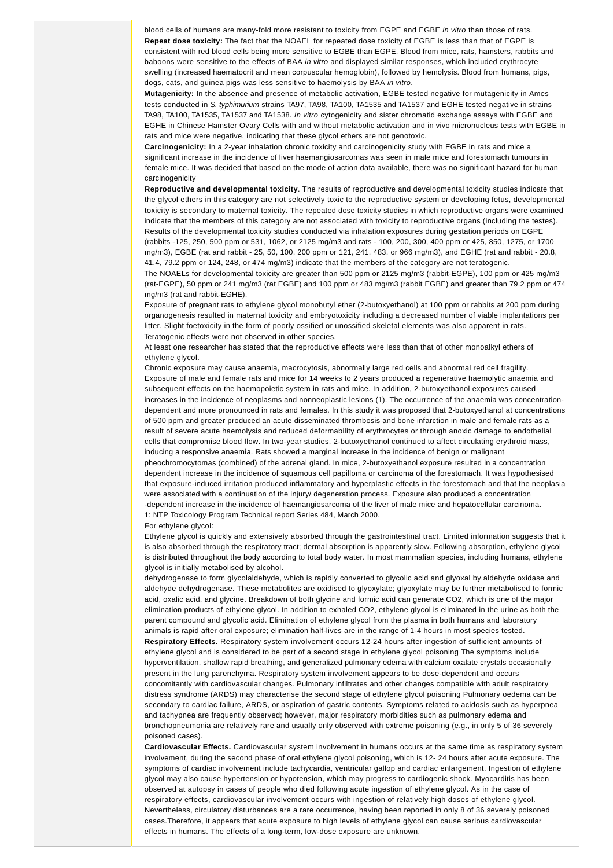blood cells of humans are many-fold more resistant to toxicity from EGPE and EGBE in vitro than those of rats. **Repeat dose toxicity:** The fact that the NOAEL for repeated dose toxicity of EGBE is less than that of EGPE is consistent with red blood cells being more sensitive to EGBE than EGPE. Blood from mice, rats, hamsters, rabbits and baboons were sensitive to the effects of BAA in vitro and displayed similar responses, which included erythrocyte swelling (increased haematocrit and mean corpuscular hemoglobin), followed by hemolysis. Blood from humans, pigs, dogs, cats, and guinea pigs was less sensitive to haemolysis by BAA in vitro.

**Mutagenicity:** In the absence and presence of metabolic activation, EGBE tested negative for mutagenicity in Ames tests conducted in S. typhimurium strains TA97, TA98, TA100, TA1535 and TA1537 and EGHE tested negative in strains TA98, TA100, TA1535, TA1537 and TA1538. In vitro cytogenicity and sister chromatid exchange assays with EGBE and EGHE in Chinese Hamster Ovary Cells with and without metabolic activation and in vivo micronucleus tests with EGBE in rats and mice were negative, indicating that these glycol ethers are not genotoxic.

**Carcinogenicity:** In a 2-year inhalation chronic toxicity and carcinogenicity study with EGBE in rats and mice a significant increase in the incidence of liver haemangiosarcomas was seen in male mice and forestomach tumours in female mice. It was decided that based on the mode of action data available, there was no significant hazard for human carcinogenicity

**Reproductive and developmental toxicity**. The results of reproductive and developmental toxicity studies indicate that the glycol ethers in this category are not selectively toxic to the reproductive system or developing fetus, developmental toxicity is secondary to maternal toxicity. The repeated dose toxicity studies in which reproductive organs were examined indicate that the members of this category are not associated with toxicity to reproductive organs (including the testes). Results of the developmental toxicity studies conducted via inhalation exposures during gestation periods on EGPE (rabbits -125, 250, 500 ppm or 531, 1062, or 2125 mg/m3 and rats - 100, 200, 300, 400 ppm or 425, 850, 1275, or 1700 mg/m3), EGBE (rat and rabbit - 25, 50, 100, 200 ppm or 121, 241, 483, or 966 mg/m3), and EGHE (rat and rabbit - 20.8, 41.4, 79.2 ppm or 124, 248, or 474 mg/m3) indicate that the members of the category are not teratogenic.

The NOAELs for developmental toxicity are greater than 500 ppm or 2125 mg/m3 (rabbit-EGPE), 100 ppm or 425 mg/m3 (rat-EGPE), 50 ppm or 241 mg/m3 (rat EGBE) and 100 ppm or 483 mg/m3 (rabbit EGBE) and greater than 79.2 ppm or 474 mg/m3 (rat and rabbit-EGHE).

Exposure of pregnant rats to ethylene glycol monobutyl ether (2-butoxyethanol) at 100 ppm or rabbits at 200 ppm during organogenesis resulted in maternal toxicity and embryotoxicity including a decreased number of viable implantations per litter. Slight foetoxicity in the form of poorly ossified or unossified skeletal elements was also apparent in rats. Teratogenic effects were not observed in other species.

At least one researcher has stated that the reproductive effects were less than that of other monoalkyl ethers of ethylene glycol.

Chronic exposure may cause anaemia, macrocytosis, abnormally large red cells and abnormal red cell fragility. Exposure of male and female rats and mice for 14 weeks to 2 years produced a regenerative haemolytic anaemia and subsequent effects on the haemopoietic system in rats and mice. In addition, 2-butoxyethanol exposures caused increases in the incidence of neoplasms and nonneoplastic lesions (1). The occurrence of the anaemia was concentrationdependent and more pronounced in rats and females. In this study it was proposed that 2-butoxyethanol at concentrations of 500 ppm and greater produced an acute disseminated thrombosis and bone infarction in male and female rats as a result of severe acute haemolysis and reduced deformability of erythrocytes or through anoxic damage to endothelial cells that compromise blood flow. In two-year studies, 2-butoxyethanol continued to affect circulating erythroid mass, inducing a responsive anaemia. Rats showed a marginal increase in the incidence of benign or malignant pheochromocytomas (combined) of the adrenal gland. In mice, 2-butoxyethanol exposure resulted in a concentration dependent increase in the incidence of squamous cell papilloma or carcinoma of the forestomach. It was hypothesised that exposure-induced irritation produced inflammatory and hyperplastic effects in the forestomach and that the neoplasia were associated with a continuation of the injury/ degeneration process. Exposure also produced a concentration -dependent increase in the incidence of haemangiosarcoma of the liver of male mice and hepatocellular carcinoma. 1: NTP Toxicology Program Technical report Series 484, March 2000.

#### For ethylene glycol:

Ethylene glycol is quickly and extensively absorbed through the gastrointestinal tract. Limited information suggests that it is also absorbed through the respiratory tract; dermal absorption is apparently slow. Following absorption, ethylene glycol is distributed throughout the body according to total body water. In most mammalian species, including humans, ethylene glycol is initially metabolised by alcohol.

dehydrogenase to form glycolaldehyde, which is rapidly converted to glycolic acid and glyoxal by aldehyde oxidase and aldehyde dehydrogenase. These metabolites are oxidised to glyoxylate; glyoxylate may be further metabolised to formic acid, oxalic acid, and glycine. Breakdown of both glycine and formic acid can generate CO2, which is one of the major elimination products of ethylene glycol. In addition to exhaled CO2, ethylene glycol is eliminated in the urine as both the parent compound and glycolic acid. Elimination of ethylene glycol from the plasma in both humans and laboratory animals is rapid after oral exposure; elimination half-lives are in the range of 1-4 hours in most species tested. **Respiratory Effects.** Respiratory system involvement occurs 12-24 hours after ingestion of sufficient amounts of ethylene glycol and is considered to be part of a second stage in ethylene glycol poisoning The symptoms include hyperventilation, shallow rapid breathing, and generalized pulmonary edema with calcium oxalate crystals occasionally present in the lung parenchyma. Respiratory system involvement appears to be dose-dependent and occurs concomitantly with cardiovascular changes. Pulmonary infiltrates and other changes compatible with adult respiratory distress syndrome (ARDS) may characterise the second stage of ethylene glycol poisoning Pulmonary oedema can be secondary to cardiac failure, ARDS, or aspiration of gastric contents. Symptoms related to acidosis such as hyperpnea and tachypnea are frequently observed; however, major respiratory morbidities such as pulmonary edema and bronchopneumonia are relatively rare and usually only observed with extreme poisoning (e.g., in only 5 of 36 severely poisoned cases).

**Cardiovascular Effects.** Cardiovascular system involvement in humans occurs at the same time as respiratory system involvement, during the second phase of oral ethylene glycol poisoning, which is 12- 24 hours after acute exposure. The symptoms of cardiac involvement include tachycardia, ventricular gallop and cardiac enlargement. Ingestion of ethylene glycol may also cause hypertension or hypotension, which may progress to cardiogenic shock. Myocarditis has been observed at autopsy in cases of people who died following acute ingestion of ethylene glycol. As in the case of respiratory effects, cardiovascular involvement occurs with ingestion of relatively high doses of ethylene glycol. Nevertheless, circulatory disturbances are a rare occurrence, having been reported in only 8 of 36 severely poisoned cases.Therefore, it appears that acute exposure to high levels of ethylene glycol can cause serious cardiovascular effects in humans. The effects of a long-term, low-dose exposure are unknown.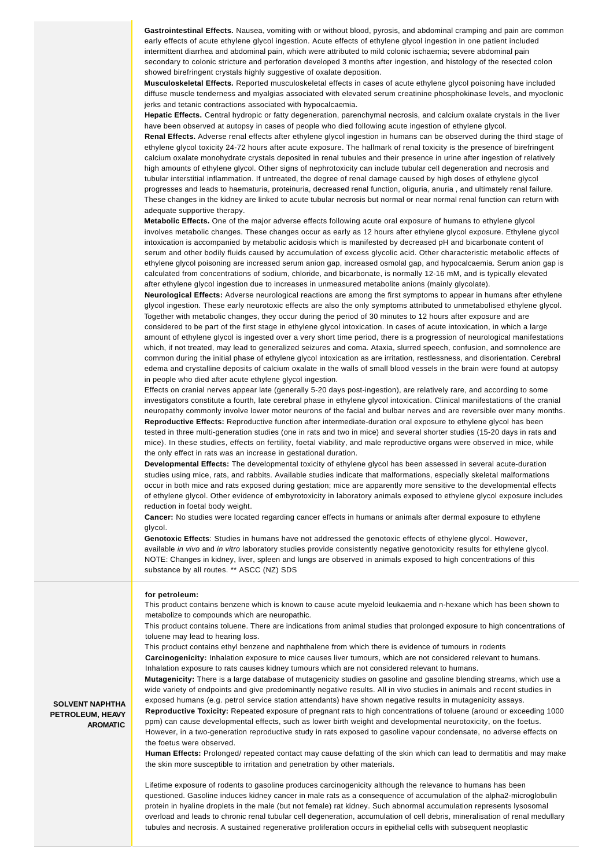**Gastrointestinal Effects.** Nausea, vomiting with or without blood, pyrosis, and abdominal cramping and pain are common early effects of acute ethylene glycol ingestion. Acute effects of ethylene glycol ingestion in one patient included intermittent diarrhea and abdominal pain, which were attributed to mild colonic ischaemia; severe abdominal pain secondary to colonic stricture and perforation developed 3 months after ingestion, and histology of the resected colon showed birefringent crystals highly suggestive of oxalate deposition.

**Musculoskeletal Effects.** Reported musculoskeletal effects in cases of acute ethylene glycol poisoning have included diffuse muscle tenderness and myalgias associated with elevated serum creatinine phosphokinase levels, and myoclonic jerks and tetanic contractions associated with hypocalcaemia.

**Hepatic Effects.** Central hydropic or fatty degeneration, parenchymal necrosis, and calcium oxalate crystals in the liver have been observed at autopsy in cases of people who died following acute ingestion of ethylene glycol.

**Renal Effects.** Adverse renal effects after ethylene glycol ingestion in humans can be observed during the third stage of ethylene glycol toxicity 24-72 hours after acute exposure. The hallmark of renal toxicity is the presence of birefringent calcium oxalate monohydrate crystals deposited in renal tubules and their presence in urine after ingestion of relatively high amounts of ethylene glycol. Other signs of nephrotoxicity can include tubular cell degeneration and necrosis and tubular interstitial inflammation. If untreated, the degree of renal damage caused by high doses of ethylene glycol progresses and leads to haematuria, proteinuria, decreased renal function, oliguria, anuria , and ultimately renal failure. These changes in the kidney are linked to acute tubular necrosis but normal or near normal renal function can return with adequate supportive therapy.

**Metabolic Effects.** One of the major adverse effects following acute oral exposure of humans to ethylene glycol involves metabolic changes. These changes occur as early as 12 hours after ethylene glycol exposure. Ethylene glycol intoxication is accompanied by metabolic acidosis which is manifested by decreased pH and bicarbonate content of serum and other bodily fluids caused by accumulation of excess glycolic acid. Other characteristic metabolic effects of ethylene glycol poisoning are increased serum anion gap, increased osmolal gap, and hypocalcaemia. Serum anion gap is calculated from concentrations of sodium, chloride, and bicarbonate, is normally 12-16 mM, and is typically elevated after ethylene glycol ingestion due to increases in unmeasured metabolite anions (mainly glycolate).

**Neurological Effects:** Adverse neurological reactions are among the first symptoms to appear in humans after ethylene glycol ingestion. These early neurotoxic effects are also the only symptoms attributed to unmetabolised ethylene glycol. Together with metabolic changes, they occur during the period of 30 minutes to 12 hours after exposure and are considered to be part of the first stage in ethylene glycol intoxication. In cases of acute intoxication, in which a large amount of ethylene glycol is ingested over a very short time period, there is a progression of neurological manifestations which, if not treated, may lead to generalized seizures and coma. Ataxia, slurred speech, confusion, and somnolence are common during the initial phase of ethylene glycol intoxication as are irritation, restlessness, and disorientation. Cerebral edema and crystalline deposits of calcium oxalate in the walls of small blood vessels in the brain were found at autopsy in people who died after acute ethylene glycol ingestion.

Effects on cranial nerves appear late (generally 5-20 days post-ingestion), are relatively rare, and according to some investigators constitute a fourth, late cerebral phase in ethylene glycol intoxication. Clinical manifestations of the cranial neuropathy commonly involve lower motor neurons of the facial and bulbar nerves and are reversible over many months. **Reproductive Effects:** Reproductive function after intermediate-duration oral exposure to ethylene glycol has been tested in three multi-generation studies (one in rats and two in mice) and several shorter studies (15-20 days in rats and mice). In these studies, effects on fertility, foetal viability, and male reproductive organs were observed in mice, while the only effect in rats was an increase in gestational duration.

**Developmental Effects:** The developmental toxicity of ethylene glycol has been assessed in several acute-duration studies using mice, rats, and rabbits. Available studies indicate that malformations, especially skeletal malformations occur in both mice and rats exposed during gestation; mice are apparently more sensitive to the developmental effects of ethylene glycol. Other evidence of embyrotoxicity in laboratory animals exposed to ethylene glycol exposure includes reduction in foetal body weight.

**Cancer:** No studies were located regarding cancer effects in humans or animals after dermal exposure to ethylene glycol.

**Genotoxic Effects**: Studies in humans have not addressed the genotoxic effects of ethylene glycol. However, available in vivo and in vitro laboratory studies provide consistently negative genotoxicity results for ethylene glycol. NOTE: Changes in kidney, liver, spleen and lungs are observed in animals exposed to high concentrations of this substance by all routes. \*\* ASCC (NZ) SDS

#### **for petroleum:**

This product contains benzene which is known to cause acute myeloid leukaemia and n-hexane which has been shown to metabolize to compounds which are neuropathic.

This product contains toluene. There are indications from animal studies that prolonged exposure to high concentrations of toluene may lead to hearing loss.

This product contains ethyl benzene and naphthalene from which there is evidence of tumours in rodents **Carcinogenicity:** Inhalation exposure to mice causes liver tumours, which are not considered relevant to humans. Inhalation exposure to rats causes kidney tumours which are not considered relevant to humans.

**Mutagenicity:** There is a large database of mutagenicity studies on gasoline and gasoline blending streams, which use a wide variety of endpoints and give predominantly negative results. All in vivo studies in animals and recent studies in exposed humans (e.g. petrol service station attendants) have shown negative results in mutagenicity assays.

**Reproductive Toxicity:** Repeated exposure of pregnant rats to high concentrations of toluene (around or exceeding 1000 ppm) can cause developmental effects, such as lower birth weight and developmental neurotoxicity, on the foetus. However, in a two-generation reproductive study in rats exposed to gasoline vapour condensate, no adverse effects on the foetus were observed.

**Human Effects:** Prolonged/ repeated contact may cause defatting of the skin which can lead to dermatitis and may make the skin more susceptible to irritation and penetration by other materials.

Lifetime exposure of rodents to gasoline produces carcinogenicity although the relevance to humans has been questioned. Gasoline induces kidney cancer in male rats as a consequence of accumulation of the alpha2-microglobulin protein in hyaline droplets in the male (but not female) rat kidney. Such abnormal accumulation represents lysosomal overload and leads to chronic renal tubular cell degeneration, accumulation of cell debris, mineralisation of renal medullary tubules and necrosis. A sustained regenerative proliferation occurs in epithelial cells with subsequent neoplastic

**SOLVENT NAPHTHA PETROLEUM, HEAVY AROMATIC**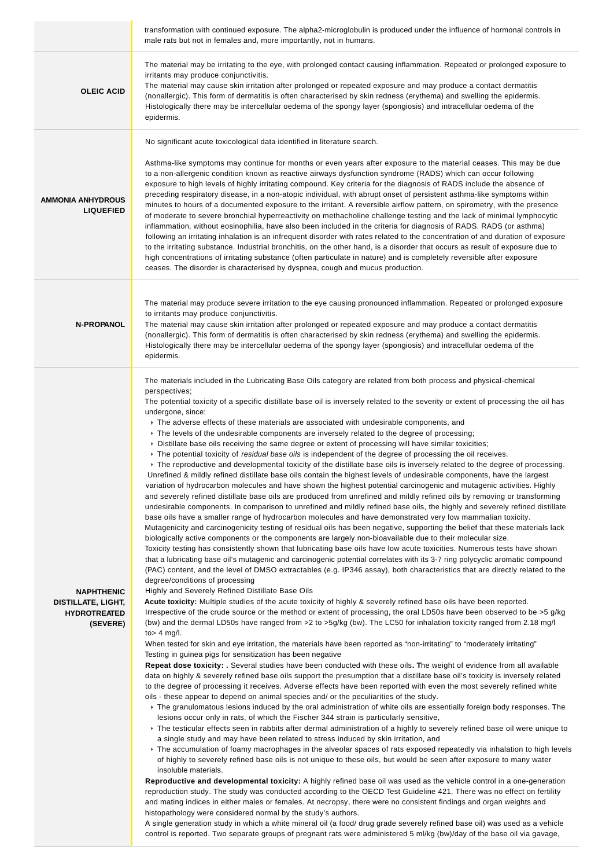|                                                                                   | transformation with continued exposure. The alpha2-microglobulin is produced under the influence of hormonal controls in<br>male rats but not in females and, more importantly, not in humans.                                                                                                                                                                                                                                                                                                                                                                                                                                                                                                                                                                                                                                                                                                                                                                                                                                                                                                                                                                                                                                                                                                                                                                                                                                                                                                                                                                                                                                                                                                                                                                                                                                                                                                                                                                                                                                                                                                                                                                                                                                                                                                                                                                                                                                                                                                                                                                                                                                                                                                                                                                                                                                                                                                                                                                                                                                                                                                                                                                                                                                                                                                                                                                                                                                                                                                                                                                                                                                                                                                                                                                                                                                                                                                                                                                                                                                                                                                                                                                                                                                                                                                                                                                                                                                                                                                                                                                                                                                                                                                                                             |
|-----------------------------------------------------------------------------------|--------------------------------------------------------------------------------------------------------------------------------------------------------------------------------------------------------------------------------------------------------------------------------------------------------------------------------------------------------------------------------------------------------------------------------------------------------------------------------------------------------------------------------------------------------------------------------------------------------------------------------------------------------------------------------------------------------------------------------------------------------------------------------------------------------------------------------------------------------------------------------------------------------------------------------------------------------------------------------------------------------------------------------------------------------------------------------------------------------------------------------------------------------------------------------------------------------------------------------------------------------------------------------------------------------------------------------------------------------------------------------------------------------------------------------------------------------------------------------------------------------------------------------------------------------------------------------------------------------------------------------------------------------------------------------------------------------------------------------------------------------------------------------------------------------------------------------------------------------------------------------------------------------------------------------------------------------------------------------------------------------------------------------------------------------------------------------------------------------------------------------------------------------------------------------------------------------------------------------------------------------------------------------------------------------------------------------------------------------------------------------------------------------------------------------------------------------------------------------------------------------------------------------------------------------------------------------------------------------------------------------------------------------------------------------------------------------------------------------------------------------------------------------------------------------------------------------------------------------------------------------------------------------------------------------------------------------------------------------------------------------------------------------------------------------------------------------------------------------------------------------------------------------------------------------------------------------------------------------------------------------------------------------------------------------------------------------------------------------------------------------------------------------------------------------------------------------------------------------------------------------------------------------------------------------------------------------------------------------------------------------------------------------------------------------------------------------------------------------------------------------------------------------------------------------------------------------------------------------------------------------------------------------------------------------------------------------------------------------------------------------------------------------------------------------------------------------------------------------------------------------------------------------------------------------------------------------------------------------------------------------------------------------------------------------------------------------------------------------------------------------------------------------------------------------------------------------------------------------------------------------------------------------------------------------------------------------------------------------------------------------------------------------------------------------------------------------------------------------------------|
| <b>OLEIC ACID</b>                                                                 | The material may be irritating to the eye, with prolonged contact causing inflammation. Repeated or prolonged exposure to<br>irritants may produce conjunctivitis.<br>The material may cause skin irritation after prolonged or repeated exposure and may produce a contact dermatitis<br>(nonallergic). This form of dermatitis is often characterised by skin redness (erythema) and swelling the epidermis.<br>Histologically there may be intercellular oedema of the spongy layer (spongiosis) and intracellular oedema of the<br>epidermis.                                                                                                                                                                                                                                                                                                                                                                                                                                                                                                                                                                                                                                                                                                                                                                                                                                                                                                                                                                                                                                                                                                                                                                                                                                                                                                                                                                                                                                                                                                                                                                                                                                                                                                                                                                                                                                                                                                                                                                                                                                                                                                                                                                                                                                                                                                                                                                                                                                                                                                                                                                                                                                                                                                                                                                                                                                                                                                                                                                                                                                                                                                                                                                                                                                                                                                                                                                                                                                                                                                                                                                                                                                                                                                                                                                                                                                                                                                                                                                                                                                                                                                                                                                                          |
|                                                                                   | No significant acute toxicological data identified in literature search.                                                                                                                                                                                                                                                                                                                                                                                                                                                                                                                                                                                                                                                                                                                                                                                                                                                                                                                                                                                                                                                                                                                                                                                                                                                                                                                                                                                                                                                                                                                                                                                                                                                                                                                                                                                                                                                                                                                                                                                                                                                                                                                                                                                                                                                                                                                                                                                                                                                                                                                                                                                                                                                                                                                                                                                                                                                                                                                                                                                                                                                                                                                                                                                                                                                                                                                                                                                                                                                                                                                                                                                                                                                                                                                                                                                                                                                                                                                                                                                                                                                                                                                                                                                                                                                                                                                                                                                                                                                                                                                                                                                                                                                                   |
| <b>AMMONIA ANHYDROUS</b><br><b>LIQUEFIED</b>                                      | Asthma-like symptoms may continue for months or even years after exposure to the material ceases. This may be due<br>to a non-allergenic condition known as reactive airways dysfunction syndrome (RADS) which can occur following<br>exposure to high levels of highly irritating compound. Key criteria for the diagnosis of RADS include the absence of<br>preceding respiratory disease, in a non-atopic individual, with abrupt onset of persistent asthma-like symptoms within<br>minutes to hours of a documented exposure to the irritant. A reversible airflow pattern, on spirometry, with the presence<br>of moderate to severe bronchial hyperreactivity on methacholine challenge testing and the lack of minimal lymphocytic<br>inflammation, without eosinophilia, have also been included in the criteria for diagnosis of RADS. RADS (or asthma)<br>following an irritating inhalation is an infrequent disorder with rates related to the concentration of and duration of exposure<br>to the irritating substance. Industrial bronchitis, on the other hand, is a disorder that occurs as result of exposure due to<br>high concentrations of irritating substance (often particulate in nature) and is completely reversible after exposure<br>ceases. The disorder is characterised by dyspnea, cough and mucus production.                                                                                                                                                                                                                                                                                                                                                                                                                                                                                                                                                                                                                                                                                                                                                                                                                                                                                                                                                                                                                                                                                                                                                                                                                                                                                                                                                                                                                                                                                                                                                                                                                                                                                                                                                                                                                                                                                                                                                                                                                                                                                                                                                                                                                                                                                                                                                                                                                                                                                                                                                                                                                                                                                                                                                                                                                                                                                                                                                                                                                                                                                                                                                                                                                                                                                                                                                                                           |
|                                                                                   | The material may produce severe irritation to the eye causing pronounced inflammation. Repeated or prolonged exposure                                                                                                                                                                                                                                                                                                                                                                                                                                                                                                                                                                                                                                                                                                                                                                                                                                                                                                                                                                                                                                                                                                                                                                                                                                                                                                                                                                                                                                                                                                                                                                                                                                                                                                                                                                                                                                                                                                                                                                                                                                                                                                                                                                                                                                                                                                                                                                                                                                                                                                                                                                                                                                                                                                                                                                                                                                                                                                                                                                                                                                                                                                                                                                                                                                                                                                                                                                                                                                                                                                                                                                                                                                                                                                                                                                                                                                                                                                                                                                                                                                                                                                                                                                                                                                                                                                                                                                                                                                                                                                                                                                                                                      |
| <b>N-PROPANOL</b>                                                                 | to irritants may produce conjunctivitis.<br>The material may cause skin irritation after prolonged or repeated exposure and may produce a contact dermatitis<br>(nonallergic). This form of dermatitis is often characterised by skin redness (erythema) and swelling the epidermis.<br>Histologically there may be intercellular oedema of the spongy layer (spongiosis) and intracellular oedema of the<br>epidermis.                                                                                                                                                                                                                                                                                                                                                                                                                                                                                                                                                                                                                                                                                                                                                                                                                                                                                                                                                                                                                                                                                                                                                                                                                                                                                                                                                                                                                                                                                                                                                                                                                                                                                                                                                                                                                                                                                                                                                                                                                                                                                                                                                                                                                                                                                                                                                                                                                                                                                                                                                                                                                                                                                                                                                                                                                                                                                                                                                                                                                                                                                                                                                                                                                                                                                                                                                                                                                                                                                                                                                                                                                                                                                                                                                                                                                                                                                                                                                                                                                                                                                                                                                                                                                                                                                                                    |
| <b>NAPHTHENIC</b><br><b>DISTILLATE, LIGHT,</b><br><b>HYDROTREATED</b><br>(SEVERE) | The materials included in the Lubricating Base Oils category are related from both process and physical-chemical<br>perspectives;<br>The potential toxicity of a specific distillate base oil is inversely related to the severity or extent of processing the oil has<br>undergone, since:<br>Fifthe adverse effects of these materials are associated with undesirable components, and<br>$\triangleright$ The levels of the undesirable components are inversely related to the degree of processing;<br>▶ Distillate base oils receiving the same degree or extent of processing will have similar toxicities;<br>Figure The potential toxicity of <i>residual base oils</i> is independent of the degree of processing the oil receives.<br>► The reproductive and developmental toxicity of the distillate base oils is inversely related to the degree of processing.<br>Unrefined & mildly refined distillate base oils contain the highest levels of undesirable components, have the largest<br>variation of hydrocarbon molecules and have shown the highest potential carcinogenic and mutagenic activities. Highly<br>and severely refined distillate base oils are produced from unrefined and mildly refined oils by removing or transforming<br>undesirable components. In comparison to unrefined and mildly refined base oils, the highly and severely refined distillate<br>base oils have a smaller range of hydrocarbon molecules and have demonstrated very low mammalian toxicity.<br>Mutagenicity and carcinogenicity testing of residual oils has been negative, supporting the belief that these materials lack<br>biologically active components or the components are largely non-bioavailable due to their molecular size.<br>Toxicity testing has consistently shown that lubricating base oils have low acute toxicities. Numerous tests have shown<br>that a lubricating base oil's mutagenic and carcinogenic potential correlates with its 3-7 ring polycyclic aromatic compound<br>(PAC) content, and the level of DMSO extractables (e.g. IP346 assay), both characteristics that are directly related to the<br>degree/conditions of processing<br>Highly and Severely Refined Distillate Base Oils<br>Acute toxicity: Multiple studies of the acute toxicity of highly & severely refined base oils have been reported.<br>Irrespective of the crude source or the method or extent of processing, the oral LD50s have been observed to be >5 g/kg<br>(bw) and the dermal LD50s have ranged from >2 to >5g/kg (bw). The LC50 for inhalation toxicity ranged from 2.18 mg/l<br>to $>$ 4 mg/l.<br>When tested for skin and eye irritation, the materials have been reported as "non-irritating" to "moderately irritating"<br>Testing in guinea pigs for sensitization has been negative<br>Repeat dose toxicity: . Several studies have been conducted with these oils. The weight of evidence from all available<br>data on highly & severely refined base oils support the presumption that a distillate base oil's toxicity is inversely related<br>to the degree of processing it receives. Adverse effects have been reported with even the most severely refined white<br>oils - these appear to depend on animal species and/ or the peculiarities of the study.<br>▶ The granulomatous lesions induced by the oral administration of white oils are essentially foreign body responses. The<br>lesions occur only in rats, of which the Fischer 344 strain is particularly sensitive,<br>▶ The testicular effects seen in rabbits after dermal administration of a highly to severely refined base oil were unique to<br>a single study and may have been related to stress induced by skin irritation, and<br>Fifthe accumulation of foamy macrophages in the alveolar spaces of rats exposed repeatedly via inhalation to high levels<br>of highly to severely refined base oils is not unique to these oils, but would be seen after exposure to many water<br>insoluble materials.<br>Reproductive and developmental toxicity: A highly refined base oil was used as the vehicle control in a one-generation<br>reproduction study. The study was conducted according to the OECD Test Guideline 421. There was no effect on fertility<br>and mating indices in either males or females. At necropsy, there were no consistent findings and organ weights and<br>histopathology were considered normal by the study's authors.<br>A single generation study in which a white mineral oil (a food/ drug grade severely refined base oil) was used as a vehicle<br>control is reported. Two separate groups of pregnant rats were administered 5 ml/kg (bw)/day of the base oil via gavage, |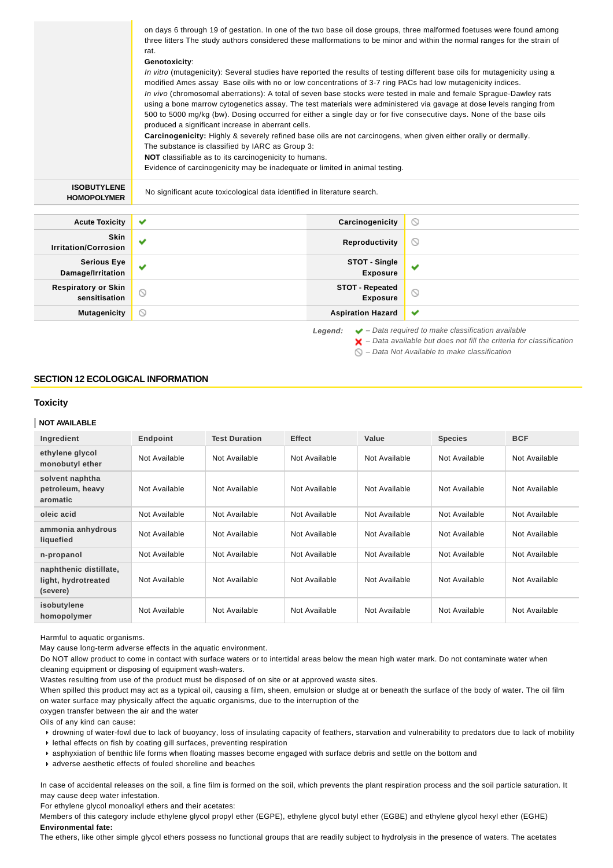| on days 6 through 19 of gestation. In one of the two base oil dose groups, three malformed foetuses were found among<br>three litters The study authors considered these malformations to be minor and within the normal ranges for the strain of<br>rat.<br>Genotoxicity:<br>In vitro (mutagenicity): Several studies have reported the results of testing different base oils for mutagenicity using a<br>modified Ames assay Base oils with no or low concentrations of 3-7 ring PACs had low mutagenicity indices.<br>In vivo (chromosomal aberrations): A total of seven base stocks were tested in male and female Sprague-Dawley rats<br>using a bone marrow cytogenetics assay. The test materials were administered via gavage at dose levels ranging from<br>500 to 5000 mg/kg (bw). Dosing occurred for either a single day or for five consecutive days. None of the base oils<br>produced a significant increase in aberrant cells.<br><b>Carcinogenicity:</b> Highly & severely refined base oils are not carcinogens, when given either orally or dermally.<br>The substance is classified by IARC as Group 3:<br><b>NOT</b> classifiable as to its carcinogenicity to humans.<br>Evidence of carcinogenicity may be inadequate or limited in animal testing. |
|------------------------------------------------------------------------------------------------------------------------------------------------------------------------------------------------------------------------------------------------------------------------------------------------------------------------------------------------------------------------------------------------------------------------------------------------------------------------------------------------------------------------------------------------------------------------------------------------------------------------------------------------------------------------------------------------------------------------------------------------------------------------------------------------------------------------------------------------------------------------------------------------------------------------------------------------------------------------------------------------------------------------------------------------------------------------------------------------------------------------------------------------------------------------------------------------------------------------------------------------------------------------------|

| <b>Acute Toxicity</b>                       | ✔                     | Carcinogenicity                           | $\circlearrowright$ |
|---------------------------------------------|-----------------------|-------------------------------------------|---------------------|
| <b>Skin</b><br><b>Irritation/Corrosion</b>  | $\tilde{\phantom{a}}$ | Reproductivity                            | $\circ$             |
| <b>Serious Eye</b><br>Damage/Irritation     | $\checkmark$          | STOT - Single<br><b>Exposure</b>          | $\checkmark$        |
| <b>Respiratory or Skin</b><br>sensitisation | $\odot$               | <b>STOT - Repeated</b><br><b>Exposure</b> | $\circledcirc$      |
| <b>Mutagenicity</b>                         | ∾                     | <b>Aspiration Hazard</b>                  | ✔                   |

**Legend:** ◆ - Data required to make classification available  $\blacktriangleright$  – Data available but does not fill the criteria for classification

 $\bigcirc$  – Data Not Available to make classification

### **SECTION 12 ECOLOGICAL INFORMATION**

### **Toxicity**

### **NOT AVAILABLE**

| Ingredient                                                | Endpoint      | <b>Test Duration</b> | <b>Effect</b> | Value         | <b>Species</b> | <b>BCF</b>    |
|-----------------------------------------------------------|---------------|----------------------|---------------|---------------|----------------|---------------|
| ethylene glycol<br>monobutyl ether                        | Not Available | Not Available        | Not Available | Not Available | Not Available  | Not Available |
| solvent naphtha<br>petroleum, heavy<br>aromatic           | Not Available | Not Available        | Not Available | Not Available | Not Available  | Not Available |
| oleic acid                                                | Not Available | Not Available        | Not Available | Not Available | Not Available  | Not Available |
| ammonia anhydrous<br>liquefied                            | Not Available | Not Available        | Not Available | Not Available | Not Available  | Not Available |
| n-propanol                                                | Not Available | Not Available        | Not Available | Not Available | Not Available  | Not Available |
| naphthenic distillate,<br>light, hydrotreated<br>(severe) | Not Available | Not Available        | Not Available | Not Available | Not Available  | Not Available |
| isobutylene<br>homopolymer                                | Not Available | Not Available        | Not Available | Not Available | Not Available  | Not Available |

Harmful to aquatic organisms.

May cause long-term adverse effects in the aquatic environment.

Do NOT allow product to come in contact with surface waters or to intertidal areas below the mean high water mark. Do not contaminate water when cleaning equipment or disposing of equipment wash-waters.

Wastes resulting from use of the product must be disposed of on site or at approved waste sites.

When spilled this product may act as a typical oil, causing a film, sheen, emulsion or sludge at or beneath the surface of the body of water. The oil film on water surface may physically affect the aquatic organisms, due to the interruption of the

oxygen transfer between the air and the water

Oils of any kind can cause:

drowning of water-fowl due to lack of buoyancy, loss of insulating capacity of feathers, starvation and vulnerability to predators due to lack of mobility

lethal effects on fish by coating gill surfaces, preventing respiration

asphyxiation of benthic life forms when floating masses become engaged with surface debris and settle on the bottom and

adverse aesthetic effects of fouled shoreline and beaches

In case of accidental releases on the soil, a fine film is formed on the soil, which prevents the plant respiration process and the soil particle saturation. It may cause deep water infestation.

For ethylene glycol monoalkyl ethers and their acetates:

Members of this category include ethylene glycol propyl ether (EGPE), ethylene glycol butyl ether (EGBE) and ethylene glycol hexyl ether (EGHE) **Environmental fate:**

The ethers, like other simple glycol ethers possess no functional groups that are readily subject to hydrolysis in the presence of waters. The acetates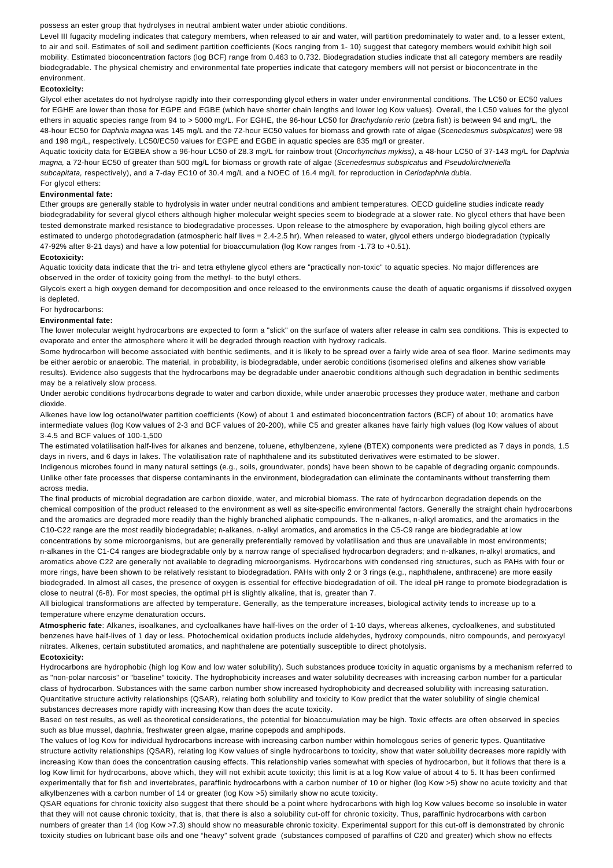possess an ester group that hydrolyses in neutral ambient water under abiotic conditions.

Level III fugacity modeling indicates that category members, when released to air and water, will partition predominately to water and, to a lesser extent, to air and soil. Estimates of soil and sediment partition coefficients (Kocs ranging from 1- 10) suggest that category members would exhibit high soil mobility. Estimated bioconcentration factors (log BCF) range from 0.463 to 0.732. Biodegradation studies indicate that all category members are readily biodegradable. The physical chemistry and environmental fate properties indicate that category members will not persist or bioconcentrate in the environment.

#### **Ecotoxicity:**

Glycol ether acetates do not hydrolyse rapidly into their corresponding glycol ethers in water under environmental conditions. The LC50 or EC50 values for EGHE are lower than those for EGPE and EGBE (which have shorter chain lengths and lower log Kow values). Overall, the LC50 values for the glycol ethers in aquatic species range from 94 to > 5000 mg/L. For EGHE, the 96-hour LC50 for Brachydanio rerio (zebra fish) is between 94 and mg/L, the 48-hour EC50 for Daphnia magna was 145 mg/L and the 72-hour EC50 values for biomass and growth rate of algae (Scenedesmus subspicatus) were 98 and 198 mg/L, respectively. LC50/EC50 values for EGPE and EGBE in aquatic species are 835 mg/l or greater.

Aquatic toxicity data for EGBEA show a 96-hour LC50 of 28.3 mg/L for rainbow trout (Oncorhynchus mykiss), a 48-hour LC50 of 37-143 mg/L for Daphnia magna, a 72-hour EC50 of greater than 500 mg/L for biomass or growth rate of algae (Scenedesmus subspicatus and Pseudokirchneriella subcapitata, respectively), and a 7-day EC10 of 30.4 mg/L and a NOEC of 16.4 mg/L for reproduction in Ceriodaphnia dubia.

#### For glycol ethers: **Environmental fate:**

Ether groups are generally stable to hydrolysis in water under neutral conditions and ambient temperatures. OECD guideline studies indicate ready biodegradability for several glycol ethers although higher molecular weight species seem to biodegrade at a slower rate. No glycol ethers that have been tested demonstrate marked resistance to biodegradative processes. Upon release to the atmosphere by evaporation, high boiling glycol ethers are estimated to undergo photodegradation (atmospheric half lives = 2.4-2.5 hr). When released to water, glycol ethers undergo biodegradation (typically 47-92% after 8-21 days) and have a low potential for bioaccumulation (log Kow ranges from -1.73 to +0.51).

#### **Ecotoxicity:**

Aquatic toxicity data indicate that the tri- and tetra ethylene glycol ethers are "practically non-toxic" to aquatic species. No major differences are observed in the order of toxicity going from the methyl- to the butyl ethers.

Glycols exert a high oxygen demand for decomposition and once released to the environments cause the death of aquatic organisms if dissolved oxygen is depleted.

### For hydrocarbons:

#### **Environmental fate:**

The lower molecular weight hydrocarbons are expected to form a "slick" on the surface of waters after release in calm sea conditions. This is expected to evaporate and enter the atmosphere where it will be degraded through reaction with hydroxy radicals.

Some hydrocarbon will become associated with benthic sediments, and it is likely to be spread over a fairly wide area of sea floor. Marine sediments may be either aerobic or anaerobic. The material, in probability, is biodegradable, under aerobic conditions (isomerised olefins and alkenes show variable results). Evidence also suggests that the hydrocarbons may be degradable under anaerobic conditions although such degradation in benthic sediments may be a relatively slow process.

Under aerobic conditions hydrocarbons degrade to water and carbon dioxide, while under anaerobic processes they produce water, methane and carbon dioxide.

Alkenes have low log octanol/water partition coefficients (Kow) of about 1 and estimated bioconcentration factors (BCF) of about 10; aromatics have intermediate values (log Kow values of 2-3 and BCF values of 20-200), while C5 and greater alkanes have fairly high values (log Kow values of about 3-4.5 and BCF values of 100-1,500

The estimated volatilisation half-lives for alkanes and benzene, toluene, ethylbenzene, xylene (BTEX) components were predicted as 7 days in ponds, 1.5 days in rivers, and 6 days in lakes. The volatilisation rate of naphthalene and its substituted derivatives were estimated to be slower. Indigenous microbes found in many natural settings (e.g., soils, groundwater, ponds) have been shown to be capable of degrading organic compounds.

Unlike other fate processes that disperse contaminants in the environment, biodegradation can eliminate the contaminants without transferring them across media.

The final products of microbial degradation are carbon dioxide, water, and microbial biomass. The rate of hydrocarbon degradation depends on the chemical composition of the product released to the environment as well as site-specific environmental factors. Generally the straight chain hydrocarbons and the aromatics are degraded more readily than the highly branched aliphatic compounds. The n-alkanes, n-alkyl aromatics, and the aromatics in the C10-C22 range are the most readily biodegradable; n-alkanes, n-alkyl aromatics, and aromatics in the C5-C9 range are biodegradable at low concentrations by some microorganisms, but are generally preferentially removed by volatilisation and thus are unavailable in most environments; n-alkanes in the C1-C4 ranges are biodegradable only by a narrow range of specialised hydrocarbon degraders; and n-alkanes, n-alkyl aromatics, and aromatics above C22 are generally not available to degrading microorganisms. Hydrocarbons with condensed ring structures, such as PAHs with four or more rings, have been shown to be relatively resistant to biodegradation. PAHs with only 2 or 3 rings (e.g., naphthalene, anthracene) are more easily biodegraded. In almost all cases, the presence of oxygen is essential for effective biodegradation of oil. The ideal pH range to promote biodegradation is close to neutral (6-8). For most species, the optimal pH is slightly alkaline, that is, greater than 7.

All biological transformations are affected by temperature. Generally, as the temperature increases, biological activity tends to increase up to a temperature where enzyme denaturation occurs.

**Atmospheric fate**: Alkanes, isoalkanes, and cycloalkanes have half-lives on the order of 1-10 days, whereas alkenes, cycloalkenes, and substituted benzenes have half-lives of 1 day or less. Photochemical oxidation products include aldehydes, hydroxy compounds, nitro compounds, and peroxyacyl nitrates. Alkenes, certain substituted aromatics, and naphthalene are potentially susceptible to direct photolysis.

#### **Ecotoxicity:**

Hydrocarbons are hydrophobic (high log Kow and low water solubility). Such substances produce toxicity in aquatic organisms by a mechanism referred to as "non-polar narcosis" or "baseline" toxicity. The hydrophobicity increases and water solubility decreases with increasing carbon number for a particular class of hydrocarbon. Substances with the same carbon number show increased hydrophobicity and decreased solubility with increasing saturation. Quantitative structure activity relationships (QSAR), relating both solubility and toxicity to Kow predict that the water solubility of single chemical substances decreases more rapidly with increasing Kow than does the acute toxicity.

Based on test results, as well as theoretical considerations, the potential for bioaccumulation may be high. Toxic effects are often observed in species such as blue mussel, daphnia, freshwater green algae, marine copepods and amphipods.

The values of log Kow for individual hydrocarbons increase with increasing carbon number within homologous series of generic types. Quantitative structure activity relationships (QSAR), relating log Kow values of single hydrocarbons to toxicity, show that water solubility decreases more rapidly with increasing Kow than does the concentration causing effects. This relationship varies somewhat with species of hydrocarbon, but it follows that there is a log Kow limit for hydrocarbons, above which, they will not exhibit acute toxicity; this limit is at a log Kow value of about 4 to 5. It has been confirmed experimentally that for fish and invertebrates, paraffinic hydrocarbons with a carbon number of 10 or higher (log Kow >5) show no acute toxicity and that alkylbenzenes with a carbon number of 14 or greater (log Kow >5) similarly show no acute toxicity.

QSAR equations for chronic toxicity also suggest that there should be a point where hydrocarbons with high log Kow values become so insoluble in water that they will not cause chronic toxicity, that is, that there is also a solubility cut-off for chronic toxicity. Thus, paraffinic hydrocarbons with carbon numbers of greater than 14 (log Kow >7.3) should show no measurable chronic toxicity. Experimental support for this cut-off is demonstrated by chronic toxicity studies on lubricant base oils and one "heavy" solvent grade (substances composed of paraffins of C20 and greater) which show no effects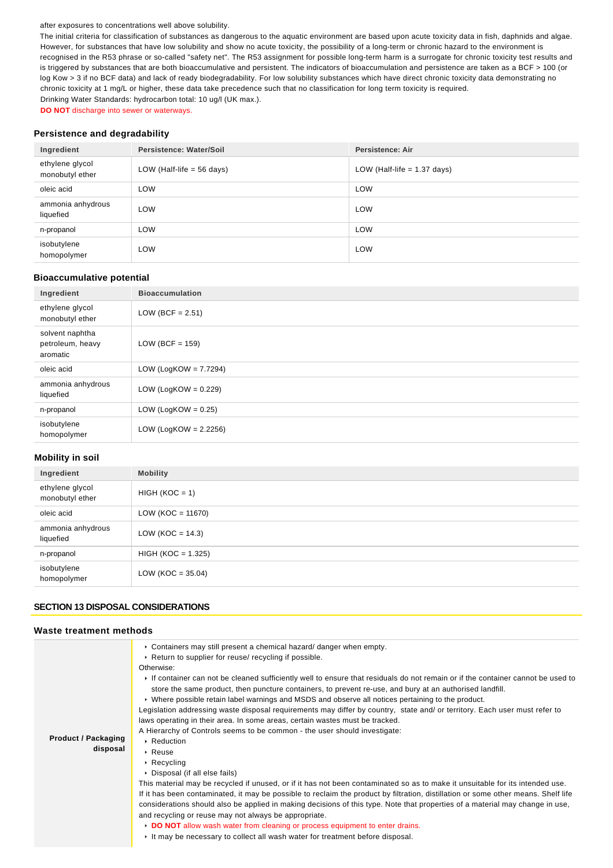#### after exposures to concentrations well above solubility.

The initial criteria for classification of substances as dangerous to the aquatic environment are based upon acute toxicity data in fish, daphnids and algae. However, for substances that have low solubility and show no acute toxicity, the possibility of a long-term or chronic hazard to the environment is recognised in the R53 phrase or so-called "safety net". The R53 assignment for possible long-term harm is a surrogate for chronic toxicity test results and is triggered by substances that are both bioaccumulative and persistent. The indicators of bioaccumulation and persistence are taken as a BCF > 100 (or log Kow > 3 if no BCF data) and lack of ready biodegradability. For low solubility substances which have direct chronic toxicity data demonstrating no chronic toxicity at 1 mg/L or higher, these data take precedence such that no classification for long term toxicity is required. Drinking Water Standards: hydrocarbon total: 10 ug/l (UK max.).

**DO NOT** discharge into sewer or waterways.

### **Persistence and degradability**

| Ingredient                         | Persistence: Water/Soil     | <b>Persistence: Air</b>       |
|------------------------------------|-----------------------------|-------------------------------|
| ethylene glycol<br>monobutyl ether | LOW (Half-life $= 56$ days) | LOW (Half-life $= 1.37$ days) |
| oleic acid                         | LOW                         | LOW                           |
| ammonia anhydrous<br>liquefied     | LOW                         | LOW                           |
| n-propanol                         | <b>LOW</b>                  | LOW                           |
| isobutylene<br>homopolymer         | LOW                         | LOW                           |

#### **Bioaccumulative potential**

| Ingredient                                      | <b>Bioaccumulation</b>   |
|-------------------------------------------------|--------------------------|
| ethylene glycol<br>monobutyl ether              | LOW (BCF = $2.51$ )      |
| solvent naphtha<br>petroleum, heavy<br>aromatic | LOW (BCF = $159$ )       |
| oleic acid                                      | LOW (LogKOW = $7.7294$ ) |
| ammonia anhydrous<br>liquefied                  | LOW (LogKOW = $0.229$ )  |
| n-propanol                                      | LOW (LogKOW = $0.25$ )   |
| isobutylene<br>homopolymer                      | LOW (LogKOW = $2.2256$ ) |

### **Mobility in soil**

| Ingredient                         | <b>Mobility</b>      |
|------------------------------------|----------------------|
| ethylene glycol<br>monobutyl ether | $HIGH (KOC = 1)$     |
| oleic acid                         | $LOW (KOC = 11670)$  |
| ammonia anhydrous<br>liquefied     | LOW ( $KOC = 14.3$ ) |
| n-propanol                         | $HIGH (KOC = 1.325)$ |
| isobutylene<br>homopolymer         | $LOW (KOC = 35.04)$  |

### **SECTION 13 DISPOSAL CONSIDERATIONS**

#### **Waste treatment methods**

|                            | $\triangleright$ Containers may still present a chemical hazard/ danger when empty.                                                |
|----------------------------|------------------------------------------------------------------------------------------------------------------------------------|
|                            | ► Return to supplier for reuse/ recycling if possible.                                                                             |
|                            | Otherwise:                                                                                                                         |
|                            | If container can not be cleaned sufficiently well to ensure that residuals do not remain or if the container cannot be used to     |
|                            | store the same product, then puncture containers, to prevent re-use, and bury at an authorised landfill.                           |
|                            | ► Where possible retain label warnings and MSDS and observe all notices pertaining to the product.                                 |
|                            | Legislation addressing waste disposal requirements may differ by country, state and/ or territory. Each user must refer to         |
|                            | laws operating in their area. In some areas, certain wastes must be tracked.                                                       |
|                            | A Hierarchy of Controls seems to be common - the user should investigate:                                                          |
| <b>Product / Packaging</b> | $\cdot$ Reduction                                                                                                                  |
| disposal                   | $\cdot$ Reuse                                                                                                                      |
|                            | $\cdot$ Recycling                                                                                                                  |
|                            | ▶ Disposal (if all else fails)                                                                                                     |
|                            | This material may be recycled if unused, or if it has not been contaminated so as to make it unsuitable for its intended use.      |
|                            | If it has been contaminated, it may be possible to reclaim the product by filtration, distillation or some other means. Shelf life |
|                            | considerations should also be applied in making decisions of this type. Note that properties of a material may change in use,      |
|                            | and recycling or reuse may not always be appropriate.                                                                              |
|                            | DO NOT allow wash water from cleaning or process equipment to enter drains.                                                        |
|                            | It may be necessary to collect all wash water for treatment before disposal.                                                       |
|                            |                                                                                                                                    |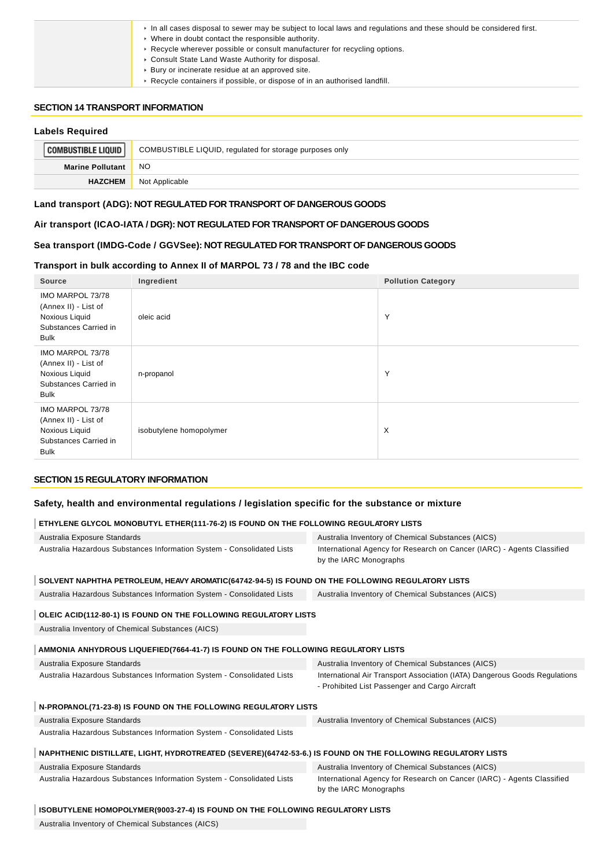| In all cases disposal to sewer may be subject to local laws and regulations and these should be considered first. |
|-------------------------------------------------------------------------------------------------------------------|
| $\triangleright$ Where in doubt contact the responsible authority.                                                |
| ► Recycle wherever possible or consult manufacturer for recycling options.                                        |
| Consult State Land Waste Authority for disposal.                                                                  |
| ▶ Bury or incinerate residue at an approved site.                                                                 |
| ▶ Recycle containers if possible, or dispose of in an authorised landfill.                                        |

### **SECTION 14 TRANSPORT INFORMATION**

### **Labels Required COMBUSTIBLE LIQUID** COMBUSTIBLE LIQUID, regulated for storage purposes only **Marine Pollutant** NO **HAZCHEM** Not Applicable

### **Land transport (ADG): NOT REGULATED FOR TRANSPORT OF DANGEROUS GOODS**

#### **Air transport (ICAO-IATA / DGR): NOT REGULATED FOR TRANSPORT OF DANGEROUS GOODS**

### **Sea transport (IMDG-Code / GGVSee): NOT REGULATED FOR TRANSPORT OF DANGEROUS GOODS**

#### **Transport in bulk according to Annex II of MARPOL 73 / 78 and the IBC code**

| Source                                                                                             | Ingredient              | <b>Pollution Category</b> |
|----------------------------------------------------------------------------------------------------|-------------------------|---------------------------|
| IMO MARPOL 73/78<br>(Annex II) - List of<br>Noxious Liquid<br>Substances Carried in<br><b>Bulk</b> | oleic acid              | Y                         |
| IMO MARPOL 73/78<br>(Annex II) - List of<br>Noxious Liquid<br>Substances Carried in<br><b>Bulk</b> | n-propanol              | Y                         |
| IMO MARPOL 73/78<br>(Annex II) - List of<br>Noxious Liquid<br>Substances Carried in<br><b>Bulk</b> | isobutylene homopolymer | $\times$                  |

### **SECTION 15 REGULATORY INFORMATION**

### **Safety, health and environmental regulations / legislation specific for the substance or mixture**

### **ETHYLENE GLYCOL MONOBUTYL ETHER(111-76-2) IS FOUND ON THE FOLLOWING REGULATORY LISTS**

| Australia Exposure Standards                                                                                | Australia Inventory of Chemical Substances (AICS)                                                                            |
|-------------------------------------------------------------------------------------------------------------|------------------------------------------------------------------------------------------------------------------------------|
| Australia Hazardous Substances Information System - Consolidated Lists                                      | International Agency for Research on Cancer (IARC) - Agents Classified<br>by the IARC Monographs                             |
| SOLVENT NAPHTHA PETROLEUM, HEAVY AROMATIC(64742-94-5) IS FOUND ON THE FOLLOWING REGULATORY LISTS            |                                                                                                                              |
| Australia Hazardous Substances Information System - Consolidated Lists                                      | Australia Inventory of Chemical Substances (AICS)                                                                            |
|                                                                                                             |                                                                                                                              |
| OLEIC ACID(112-80-1) IS FOUND ON THE FOLLOWING REGULATORY LISTS                                             |                                                                                                                              |
| Australia Inventory of Chemical Substances (AICS)                                                           |                                                                                                                              |
| AMMONIA ANHYDROUS LIQUEFIED(7664-41-7) IS FOUND ON THE FOLLOWING REGULATORY LISTS                           |                                                                                                                              |
|                                                                                                             |                                                                                                                              |
| Australia Exposure Standards                                                                                | Australia Inventory of Chemical Substances (AICS)                                                                            |
| Australia Hazardous Substances Information System - Consolidated Lists                                      | International Air Transport Association (IATA) Dangerous Goods Regulations<br>- Prohibited List Passenger and Cargo Aircraft |
| N-PROPANOL(71-23-8) IS FOUND ON THE FOLLOWING REGULATORY LISTS                                              |                                                                                                                              |
| Australia Exposure Standards                                                                                | Australia Inventory of Chemical Substances (AICS)                                                                            |
| Australia Hazardous Substances Information System - Consolidated Lists                                      |                                                                                                                              |
|                                                                                                             |                                                                                                                              |
| NAPHTHENIC DISTILLATE, LIGHT, HYDROTREATED (SEVERE)(64742-53-6.) IS FOUND ON THE FOLLOWING REGULATORY LISTS |                                                                                                                              |
| Australia Exposure Standards                                                                                | Australia Inventory of Chemical Substances (AICS)                                                                            |
| Australia Hazardous Substances Information System - Consolidated Lists                                      | International Agency for Research on Cancer (IARC) - Agents Classified<br>by the IARC Monographs                             |
| ISOBUTYLENE HOMOPOLYMER(9003-27-4) IS FOUND ON THE FOLLOWING REGULATORY LISTS                               |                                                                                                                              |
|                                                                                                             |                                                                                                                              |

Australia Inventory of Chemical Substances (AICS)